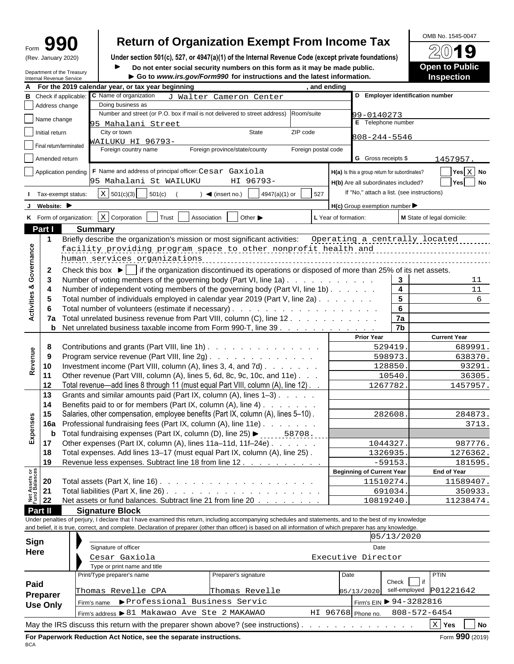| ırm | Т<br>I  |  |
|-----|---------|--|
|     | 50.5001 |  |

# Form  $\mathbf{990}$  Return of Organization Exempt From Income Tax<br>
(Rev. January 2020) Under section 501(c), 527, or 4947(a)(1) of the Internal Revenue Code (except private foundations)

Under section 501(c), 527, or 4947(a)(1) of the Internal Revenue Code (except private foundations)

Department of the Treasury<br> **Do not enter social security numbers on this form as it may be made public.**<br>
Internal Revenue Service<br> **Do to www.irs.gov/Form990 for instructions and the latest information.** Internal Revenue Service **Go to** *www.irs.gov/Form990* **for instructions and the latest information.**

| Open to Public<br><b>Inspection</b> | $\overline{\phantom{a}}$<br>-<br>__<br>_<br>◡ |  |  |  |
|-------------------------------------|-----------------------------------------------|--|--|--|
|                                     |                                               |  |  |  |
|                                     |                                               |  |  |  |

OMB No. 1545-0047

|                                                  | For the 2019 calendar year, or tax year beginning<br>, and ending                                                                                            |                                  |                                                     |                                                    |
|--------------------------------------------------|--------------------------------------------------------------------------------------------------------------------------------------------------------------|----------------------------------|-----------------------------------------------------|----------------------------------------------------|
| Check if applicable                              | C Name of organization                                                                                                                                       |                                  | D Employer identification number                    |                                                    |
| В<br>Address change                              | J Walter Cameron Center<br>Doing business as                                                                                                                 |                                  |                                                     |                                                    |
|                                                  | Number and street (or P.O. box if mail is not delivered to street address)<br>Room/suite                                                                     |                                  | 99-0140273                                          |                                                    |
| Name change                                      | 95 Mahalani Street                                                                                                                                           | E Telephone number               |                                                     |                                                    |
| Initial return                                   | City or town<br>State<br>ZIP code                                                                                                                            |                                  |                                                     |                                                    |
|                                                  | AAILUKU HI 96793-                                                                                                                                            |                                  | $808 - 244 - 5546$                                  |                                                    |
| Final return/terminated                          | Foreign country name<br>Foreign province/state/county<br>Foreign postal code                                                                                 |                                  |                                                     |                                                    |
| Amended return                                   |                                                                                                                                                              |                                  | <b>G</b> Gross receipts \$                          | 1457957.                                           |
|                                                  |                                                                                                                                                              |                                  |                                                     |                                                    |
|                                                  | $\Box$ Application pending $\Box$ F Name and address of principal officer: Cesar Gaxiola                                                                     |                                  | H(a) Is this a group return for subordinates?       | $\boxed{\blacksquare}$ Yes $\boxed{\mathrm{X}}$ No |
|                                                  | 95 Mahalani St WAILUKU<br>HI 96793-                                                                                                                          |                                  | H(b) Are all subordinates included?                 | $\sqrt{Y}$ es $\sqrt{N}$ No                        |
| I Tax-exempt status:                             | $\boxed{\text{X}}$ 501(c)(3) 501(c)<br>$4947(a)(1)$ or $527$<br>$\triangleleft$ (insert no.)                                                                 |                                  | If "No," attach a list. (see instructions)          |                                                    |
| J Website:                                       |                                                                                                                                                              |                                  | $H(c)$ Group exemption number $\blacktriangleright$ |                                                    |
|                                                  |                                                                                                                                                              |                                  |                                                     |                                                    |
|                                                  | K Form of organization: $X$ Corporation Trust Association $\Box$ Other                                                                                       | L Year of formation:             |                                                     | M State of legal domicile:                         |
| Part I                                           | <b>Summary</b>                                                                                                                                               |                                  |                                                     |                                                    |
|                                                  | Briefly describe the organization's mission or most significant activities:                                                                                  |                                  | Operating a centrally located                       |                                                    |
|                                                  | facility providing program space to other nonprofit health and                                                                                               |                                  |                                                     |                                                    |
|                                                  | human services organizations                                                                                                                                 |                                  |                                                     |                                                    |
|                                                  | Check this box $\blacktriangleright$ if the organization discontinued its operations or disposed of more than 25% of its net assets.                         |                                  |                                                     |                                                    |
| Governance                                       |                                                                                                                                                              |                                  |                                                     |                                                    |
| ಯ                                                | Number of voting members of the governing body (Part VI, line 1a)                                                                                            |                                  | $\mathbf{3}$                                        | 11                                                 |
|                                                  | Number of independent voting members of the governing body (Part VI, line 1b)                                                                                |                                  | $\overline{4}$                                      | 11                                                 |
| Activities                                       | Total number of individuals employed in calendar year 2019 (Part V, line 2a)                                                                                 |                                  | 5 <sub>5</sub>                                      |                                                    |
|                                                  |                                                                                                                                                              |                                  | $6\overline{6}$                                     |                                                    |
|                                                  | 7a Total unrelated business revenue from Part VIII, column (C), line 12.                                                                                     |                                  | 7a                                                  |                                                    |
|                                                  | <b>b</b> Net unrelated business taxable income from Form 990-T, line 39                                                                                      |                                  | 7 <sub>b</sub>                                      |                                                    |
|                                                  |                                                                                                                                                              | <b>Prior Year</b>                |                                                     | <b>Current Year</b>                                |
|                                                  | Contributions and grants (Part VIII, line 1h)                                                                                                                |                                  | 529419                                              | 689991                                             |
| Revenue                                          | Program service revenue (Part VIII, line 2g)                                                                                                                 |                                  | 598973                                              | 638370.                                            |
| 10                                               | Investment income (Part VIII, column (A), lines 3, 4, and 7d)                                                                                                |                                  | 128850                                              | 93291                                              |
|                                                  | Other revenue (Part VIII, column (A), lines 5, 6d, 8c, 9c, 10c, and 11e)                                                                                     |                                  | 10540.                                              | 36305                                              |
| 12                                               | Total revenue—add lines 8 through 11 (must equal Part VIII, column (A), line 12). .                                                                          |                                  | 1267782                                             | 1457957.                                           |
| 13                                               | Grants and similar amounts paid (Part IX, column (A), lines 1-3)                                                                                             |                                  |                                                     |                                                    |
| 14                                               | Benefits paid to or for members (Part IX, column (A), line 4)                                                                                                |                                  |                                                     |                                                    |
|                                                  |                                                                                                                                                              |                                  |                                                     |                                                    |
| es                                               | Salaries, other compensation, employee benefits (Part IX, column (A), lines 5-10).                                                                           |                                  | 282608                                              | 284873                                             |
|                                                  | <b>16a</b> Professional fundraising fees (Part IX, column (A), line 11e). $\ldots$                                                                           |                                  |                                                     | 3713.                                              |
| Expe<br>$\mathbf b$                              | Total fundraising expenses (Part IX, column (D), line 25) ▶ ______58708.                                                                                     |                                  |                                                     |                                                    |
| 17                                               | Other expenses (Part IX, column (A), lines 11a-11d, 11f-24e)                                                                                                 |                                  | 1044327.                                            | 987776.                                            |
| 18                                               | Total expenses. Add lines 13-17 (must equal Part IX, column (A), line 25).                                                                                   |                                  | 1326935.                                            | 1276362.                                           |
|                                                  | 19 Revenue less expenses. Subtract line 18 from line 12.                                                                                                     |                                  | $-59153$                                            | 181595.                                            |
|                                                  |                                                                                                                                                              | <b>Beginning of Current Year</b> |                                                     | <b>End of Year</b>                                 |
| Net Assets or<br>Fund Balances<br>22<br>22<br>22 | Total assets (Part X, line 16) $\ldots$ $\ldots$ $\ldots$ $\ldots$ $\ldots$ $\ldots$ $\ldots$ $\ldots$                                                       |                                  | 11510274.                                           | 11589407.                                          |
|                                                  |                                                                                                                                                              |                                  | 691034                                              | 350933.                                            |
|                                                  | Net assets or fund balances. Subtract line 21 from line 20                                                                                                   |                                  | 10819240.                                           | 11238474.                                          |
| Part II                                          | <b>Signature Block</b>                                                                                                                                       |                                  |                                                     |                                                    |
|                                                  | Under penalties of perjury, I declare that I have examined this return, including accompanying schedules and statements, and to the best of my knowledge     |                                  |                                                     |                                                    |
|                                                  | and belief, it is true, correct, and complete. Declaration of preparer (other than officer) is based on all information of which preparer has any knowledge. |                                  |                                                     |                                                    |
|                                                  |                                                                                                                                                              |                                  | 05/13/2020                                          |                                                    |
| Sign                                             | Signature of officer                                                                                                                                         |                                  | Date                                                |                                                    |
| Here                                             | Cesar Gaxiola                                                                                                                                                | Executive Director               |                                                     |                                                    |
|                                                  |                                                                                                                                                              |                                  |                                                     |                                                    |
|                                                  | Type or print name and title                                                                                                                                 |                                  |                                                     | <b>PTIN</b>                                        |
|                                                  | Print/Type preparer's name<br>Preparer's signature                                                                                                           | Date                             | Check $\boxed{\phantom{0}}$ if                      |                                                    |
| Paid                                             | Thomas Revelle CPA<br>Thomas Revelle                                                                                                                         | 05/13/2020                       |                                                     | self-employed P01221642                            |
| Preparer                                         |                                                                                                                                                              |                                  |                                                     |                                                    |
| <b>Use Only</b>                                  | Firm's name PProfessional Business Servic                                                                                                                    |                                  | Firm's EIN > 94-3282816                             |                                                    |

May the IRS discuss this return with the preparer shown above? (see instructions) . . . . . . . . . . . . . . **Yes No**

**BCA BCA** 

 $\overline{\text{X}}$  Yes  $\qquad$  No

808-572-6454

Firm's address > 81 Makawao Ave Ste 2 MAKAWAO HI 96768 Phone no. 808-572-6454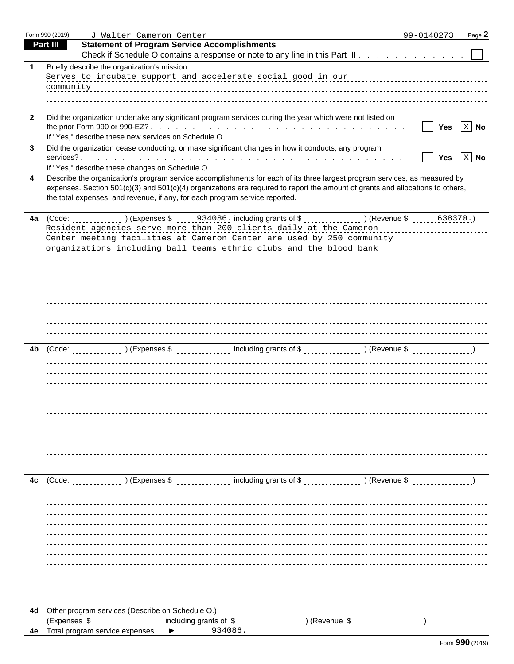|              | Form 990 (2019) | J Walter Cameron Center                                                                                                        |               | 99-0140273<br>Page 2 |
|--------------|-----------------|--------------------------------------------------------------------------------------------------------------------------------|---------------|----------------------|
|              | <b>Part III</b> | <b>Statement of Program Service Accomplishments</b>                                                                            |               |                      |
|              |                 | Check if Schedule O contains a response or note to any line in this Part III                                                   |               |                      |
|              |                 | Briefly describe the organization's mission:                                                                                   |               |                      |
|              |                 | Serves to incubate support and accelerate social good in our measurement control of the support of the serves                  |               |                      |
|              |                 |                                                                                                                                |               |                      |
|              |                 |                                                                                                                                |               |                      |
|              |                 |                                                                                                                                |               |                      |
| $\mathbf{2}$ |                 | Did the organization undertake any significant program services during the year which were not listed on                       |               |                      |
|              |                 |                                                                                                                                |               |                      |
|              |                 | If "Yes," describe these new services on Schedule O.                                                                           |               |                      |
| 3            |                 | Did the organization cease conducting, or make significant changes in how it conducts, any program                             |               |                      |
|              |                 |                                                                                                                                |               | X No                 |
|              |                 | If "Yes," describe these changes on Schedule O.                                                                                |               |                      |
| 4            |                 | Describe the organization's program service accomplishments for each of its three largest program services, as measured by     |               |                      |
|              |                 | expenses. Section 501(c)(3) and 501(c)(4) organizations are required to report the amount of grants and allocations to others, |               |                      |
|              |                 | the total expenses, and revenue, if any, for each program service reported.                                                    |               |                      |
|              |                 |                                                                                                                                |               |                      |
|              | 4a (Code:       | ) (Expenses \$<br>. <u>.</u>                                                                                                   | ) (Revenue \$ | $\frac{638370}{}$    |
|              |                 | Resident agencies serve more than 200 clients daily at the Cameron                                                             |               |                      |
|              |                 | Center meeting facilities at Cameron Center are used by 250 community                                                          |               |                      |
|              |                 | organizations including ball teams ethnic clubs and the blood bank                                                             |               |                      |
|              |                 |                                                                                                                                |               |                      |
|              |                 |                                                                                                                                |               |                      |
|              |                 |                                                                                                                                |               |                      |
|              |                 |                                                                                                                                |               |                      |
|              |                 |                                                                                                                                |               |                      |
|              |                 |                                                                                                                                |               |                      |
|              |                 |                                                                                                                                |               |                      |
|              |                 |                                                                                                                                |               |                      |
|              |                 |                                                                                                                                |               |                      |
| 4b           | (Code:          | ) (Expenses \$<br>----------------<br>.                                                                                        | ) (Revenue \$ | ----------------     |
|              |                 |                                                                                                                                |               |                      |
|              |                 |                                                                                                                                |               |                      |
|              |                 |                                                                                                                                |               |                      |
|              |                 |                                                                                                                                |               |                      |
|              |                 |                                                                                                                                |               |                      |
|              |                 |                                                                                                                                |               |                      |
|              |                 |                                                                                                                                |               |                      |
|              |                 |                                                                                                                                |               |                      |
|              |                 |                                                                                                                                |               |                      |
|              |                 |                                                                                                                                |               |                      |
|              |                 |                                                                                                                                |               |                      |
|              | 4c (Code:       | ) (Expenses \$                                                                                                                 | ) (Revenue \$ |                      |
|              |                 | ----------------                                                                                                               |               |                      |
|              |                 |                                                                                                                                |               |                      |
|              |                 |                                                                                                                                |               |                      |
|              |                 |                                                                                                                                |               |                      |
|              |                 |                                                                                                                                |               |                      |
|              |                 |                                                                                                                                |               |                      |
|              |                 |                                                                                                                                |               |                      |
|              |                 |                                                                                                                                |               |                      |
|              |                 |                                                                                                                                |               |                      |
|              |                 |                                                                                                                                |               |                      |
|              |                 |                                                                                                                                |               |                      |
|              |                 |                                                                                                                                |               |                      |
|              |                 | 4d Other program services (Describe on Schedule O.)                                                                            |               |                      |
|              | (Expenses \$    | ) (Revenue \$<br>including grants of \$                                                                                        |               |                      |
|              |                 | 934086.<br>Total program service expenses                                                                                      |               |                      |
|              |                 |                                                                                                                                |               |                      |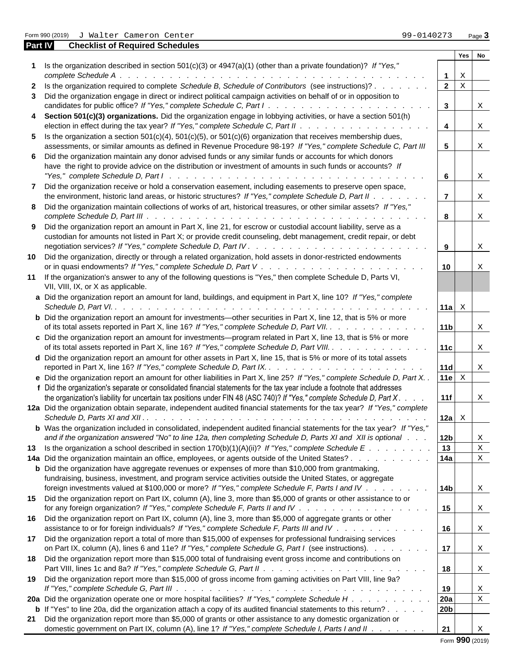Form 990 (2019) J Walter Cameron Center **1990 (2019)** Page **3** 

| Part IV | <b>Checklist of Required Schedules</b>                                                                                       |                               |        |                           |  |
|---------|------------------------------------------------------------------------------------------------------------------------------|-------------------------------|--------|---------------------------|--|
|         |                                                                                                                              |                               | Yes No |                           |  |
|         | 1 Is the organization described in section 501(c)(3) or 4947(a)(1) (other than a private foundation)? If "Yes,"              |                               |        |                           |  |
|         |                                                                                                                              |                               | X      |                           |  |
|         | 2 Is the organization required to complete Schedule B, Schedule of Contributors (see instructions)?                          | $2 \times$                    |        |                           |  |
|         | 3 Did the organization engage in direct or indirect political campaign activities on behalf of or in opposition to           |                               |        |                           |  |
|         | candidates for public office? If "Yes," complete Schedule C, Part I.                                                         | $\overline{\mathbf{3}}$       |        | X                         |  |
|         | 4 Section 501(c)(3) organizations. Did the organization engage in lobbying activities, or have a section 501(h)              |                               |        |                           |  |
|         |                                                                                                                              | $\overline{4}$                |        | $\boldsymbol{\mathrm{X}}$ |  |
|         | 5 Is the organization a section $501(c)(4)$ , $501(c)(5)$ , or $501(c)(6)$ organization that receives membership dues,       |                               |        |                           |  |
|         | assessments, or similar amounts as defined in Revenue Procedure 98-19? If "Yes," complete Schedule C, Part III               | 5 <sub>5</sub>                |        | $\boldsymbol{\mathrm{X}}$ |  |
|         |                                                                                                                              |                               |        |                           |  |
|         | 6 Did the organization maintain any donor advised funds or any similar funds or accounts for which donors                    |                               |        |                           |  |
|         | have the right to provide advice on the distribution or investment of amounts in such funds or accounts? If                  |                               |        |                           |  |
|         |                                                                                                                              | $6\overline{6}$               |        | X                         |  |
|         | 7 Did the organization receive or hold a conservation easement, including easements to preserve open space,                  |                               |        |                           |  |
|         | the environment, historic land areas, or historic structures? If "Yes," complete Schedule D, Part II                         | $\overline{7}$                |        | X                         |  |
|         | 8 Did the organization maintain collections of works of art, historical treasures, or other similar assets? If "Yes,"        |                               |        |                           |  |
|         |                                                                                                                              | 8                             |        | $\boldsymbol{\mathrm{X}}$ |  |
|         | 9 Did the organization report an amount in Part X, line 21, for escrow or custodial account liability, serve as a            |                               |        |                           |  |
|         | custodian for amounts not listed in Part X; or provide credit counseling, debt management, credit repair, or debt            |                               |        |                           |  |
|         |                                                                                                                              | $\overline{9}$                |        | $\boldsymbol{\mathrm{X}}$ |  |
|         | 10 Did the organization, directly or through a related organization, hold assets in donor-restricted endowments              |                               |        |                           |  |
|         |                                                                                                                              | 10 <sup>1</sup>               |        | X                         |  |
|         |                                                                                                                              |                               |        |                           |  |
|         | 11 If the organization's answer to any of the following questions is "Yes," then complete Schedule D, Parts VI,              |                               |        |                           |  |
|         | VII, VIII, IX, or X as applicable.                                                                                           |                               |        |                           |  |
|         | a Did the organization report an amount for land, buildings, and equipment in Part X, line 10? If "Yes," complete            |                               |        |                           |  |
|         |                                                                                                                              | 11a $\mathbf{x}$              |        |                           |  |
|         | <b>b</b> Did the organization report an amount for investments—other securities in Part X, line 12, that is 5% or more       |                               |        |                           |  |
|         | of its total assets reported in Part X, line 16? If "Yes," complete Schedule D, Part VII.                                    | 11b                           |        | $\boldsymbol{\mathrm{X}}$ |  |
|         | c Did the organization report an amount for investments—program related in Part X, line 13, that is 5% or more               |                               |        |                           |  |
|         | of its total assets reported in Part X, line 16? If "Yes," complete Schedule D, Part VIII.                                   | 11c                           |        | $\mathbf{X}$              |  |
|         | d Did the organization report an amount for other assets in Part X, line 15, that is 5% or more of its total assets          |                               |        |                           |  |
|         |                                                                                                                              | 11d                           |        |                           |  |
|         |                                                                                                                              |                               |        | X                         |  |
|         | e Did the organization report an amount for other liabilities in Part X, line 25? If "Yes," complete Schedule D, Part X      | 11e $X$                       |        |                           |  |
|         | f Did the organization's separate or consolidated financial statements for the tax year include a footnote that addresses    |                               |        |                           |  |
|         | the organization's liability for uncertain tax positions under FIN 48 (ASC 740)? If "Yes," complete Schedule D, Part X       | 11f                           |        | X                         |  |
|         | 12a Did the organization obtain separate, independent audited financial statements for the tax year? If "Yes," complete      |                               |        |                           |  |
|         |                                                                                                                              | 12a $\boldsymbol{\mathsf{X}}$ |        |                           |  |
|         | <b>b</b> Was the organization included in consolidated, independent audited financial statements for the tax year? If "Yes," |                               |        |                           |  |
|         | and if the organization answered "No" to line 12a, then completing Schedule D, Parts XI and XII is optional                  | 12 <sub>b</sub>               |        | X                         |  |
|         | 13 Is the organization a school described in section $170(b)(1)(A)(ii)?$ If "Yes," complete Schedule E.                      | 13                            |        | $\mathbf X$               |  |
|         | 14a Did the organization maintain an office, employees, or agents outside of the United States?                              | 14a                           |        | $\mathbf X$               |  |
|         |                                                                                                                              |                               |        |                           |  |
|         | <b>b</b> Did the organization have aggregate revenues or expenses of more than \$10,000 from grantmaking,                    |                               |        |                           |  |
|         | fundraising, business, investment, and program service activities outside the United States, or aggregate                    |                               |        |                           |  |
|         | foreign investments valued at \$100,000 or more? If "Yes," complete Schedule F, Parts I and IV                               | 14 <sub>b</sub>               |        | $\boldsymbol{\mathrm{X}}$ |  |
|         | 15 Did the organization report on Part IX, column (A), line 3, more than \$5,000 of grants or other assistance to or         |                               |        |                           |  |
|         |                                                                                                                              | 15                            |        | $\mathbf{x}$              |  |
|         | 16 Did the organization report on Part IX, column (A), line 3, more than \$5,000 of aggregate grants or other                |                               |        |                           |  |
|         | assistance to or for foreign individuals? If "Yes," complete Schedule F, Parts III and IV                                    | 16                            |        | $\mathbf{x}$              |  |
|         | 17 Did the organization report a total of more than \$15,000 of expenses for professional fundraising services               |                               |        |                           |  |
|         | on Part IX, column (A), lines 6 and 11e? If "Yes," complete Schedule G, Part I (see instructions).                           | 17                            |        | X                         |  |
|         | 18 Did the organization report more than \$15,000 total of fundraising event gross income and contributions on               |                               |        |                           |  |
|         |                                                                                                                              | 18                            |        |                           |  |
|         |                                                                                                                              |                               |        | X                         |  |
|         | 19 Did the organization report more than \$15,000 of gross income from gaming activities on Part VIII, line 9a?              |                               |        |                           |  |
|         |                                                                                                                              | 19                            |        | $\mathbf x$               |  |
|         | 20a Did the organization operate one or more hospital facilities? If "Yes," complete Schedule H                              | 20a                           |        | $\mathbf X$               |  |
|         | <b>b</b> If "Yes" to line 20a, did the organization attach a copy of its audited financial statements to this return?        | 20 <sub>b</sub>               |        |                           |  |
|         | 21 Did the organization report more than \$5,000 of grants or other assistance to any domestic organization or               |                               |        |                           |  |
|         | domestic government on Part IX, column (A), line 1? If "Yes," complete Schedule I, Parts I and II                            | 21                            |        |                           |  |

Form **990** (2019)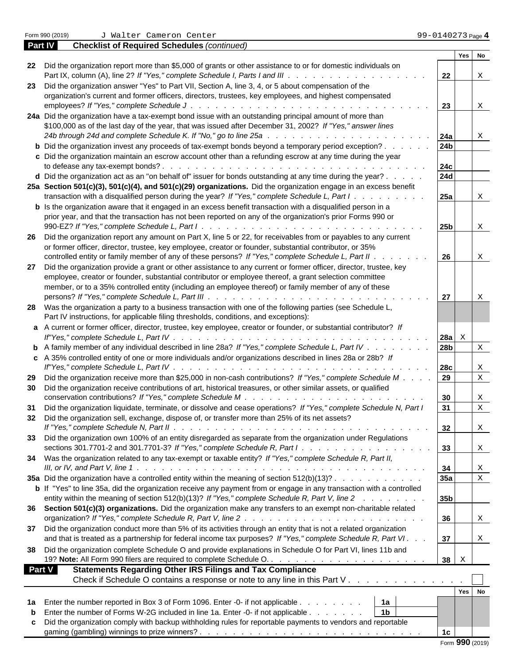|                                                                                                                                                                                                                                                                                                     |                 | No<br>Yes   |
|-----------------------------------------------------------------------------------------------------------------------------------------------------------------------------------------------------------------------------------------------------------------------------------------------------|-----------------|-------------|
| 22 Did the organization report more than \$5,000 of grants or other assistance to or for domestic individuals on                                                                                                                                                                                    | 22              | X           |
| 23 Did the organization answer "Yes" to Part VII, Section A, line 3, 4, or 5 about compensation of the                                                                                                                                                                                              |                 |             |
| organization's current and former officers, directors, trustees, key employees, and highest compensated                                                                                                                                                                                             |                 |             |
| employees? If "Yes," complete Schedule J.<br>and the companies of the companies of the companies of the companies of the companies of the companies of the                                                                                                                                          | 23              | X           |
| 24a Did the organization have a tax-exempt bond issue with an outstanding principal amount of more than                                                                                                                                                                                             |                 |             |
| \$100,000 as of the last day of the year, that was issued after December 31, 2002? If "Yes," answer lines                                                                                                                                                                                           |                 |             |
| 24b through 24d and complete Schedule K. If "No," go to line 25a.<br>design and contract the contract of the contract of the contract of the contract of the contract of the contract of the contract of the contract of the contract of the contract of the contract of the contract of the contra | <b>24a</b>      | X           |
| <b>b</b> Did the organization invest any proceeds of tax-exempt bonds beyond a temporary period exception?                                                                                                                                                                                          | 24 <sub>b</sub> |             |
|                                                                                                                                                                                                                                                                                                     |                 |             |
| c Did the organization maintain an escrow account other than a refunding escrow at any time during the year                                                                                                                                                                                         |                 |             |
|                                                                                                                                                                                                                                                                                                     | <b>24c</b>      |             |
| d Did the organization act as an "on behalf of" issuer for bonds outstanding at any time during the year?                                                                                                                                                                                           | 24d             |             |
| 25a Section 501(c)(3), 501(c)(4), and 501(c)(29) organizations. Did the organization engage in an excess benefit                                                                                                                                                                                    |                 |             |
| transaction with a disqualified person during the year? If "Yes," complete Schedule L, Part I                                                                                                                                                                                                       | <b>25a</b>      | Χ           |
| <b>b</b> Is the organization aware that it engaged in an excess benefit transaction with a disqualified person in a                                                                                                                                                                                 |                 |             |
| prior year, and that the transaction has not been reported on any of the organization's prior Forms 990 or                                                                                                                                                                                          |                 |             |
| 990-EZ? If "Yes," complete Schedule L, Part I.<br>.                                                                                                                                                                                                                                                 | 25 <sub>b</sub> | X           |
| 26 Did the organization report any amount on Part X, line 5 or 22, for receivables from or payables to any current                                                                                                                                                                                  |                 |             |
| or former officer, director, trustee, key employee, creator or founder, substantial contributor, or 35%                                                                                                                                                                                             |                 |             |
| controlled entity or family member of any of these persons? If "Yes," complete Schedule L, Part II .                                                                                                                                                                                                | 26              | $\mathbf X$ |
| 27 Did the organization provide a grant or other assistance to any current or former officer, director, trustee, key                                                                                                                                                                                |                 |             |
|                                                                                                                                                                                                                                                                                                     |                 |             |
| employee, creator or founder, substantial contributor or employee thereof, a grant selection committee                                                                                                                                                                                              |                 |             |
| member, or to a 35% controlled entity (including an employee thereof) or family member of any of these                                                                                                                                                                                              |                 |             |
|                                                                                                                                                                                                                                                                                                     | 27              | X           |
| 28 Was the organization a party to a business transaction with one of the following parties (see Schedule L,                                                                                                                                                                                        |                 |             |
| Part IV instructions, for applicable filing thresholds, conditions, and exceptions):                                                                                                                                                                                                                |                 |             |
| a A current or former officer, director, trustee, key employee, creator or founder, or substantial contributor? If                                                                                                                                                                                  |                 |             |
| If"Yes," complete Schedule L, Part IV.<br>a constitution of the constitution of the constitution of the constitution of the constitution of the constitution of the constitution of the constitution of the constitution of the constitution of the constitution of the                             | $28a$ X         |             |
| <b>b</b> A family member of any individual described in line 28a? If "Yes," complete Schedule L, Part IV                                                                                                                                                                                            | 28 <sub>b</sub> | $\mathbf X$ |
| c A 35% controlled entity of one or more individuals and/or organizations described in lines 28a or 28b? If                                                                                                                                                                                         |                 |             |
| If"Yes," complete Schedule L, Part IV.<br>the contract of the contract of the contract of the contract of the contract of the contract of the contract of                                                                                                                                           | 28c             | X           |
| 29 Did the organization receive more than \$25,000 in non-cash contributions? If "Yes," complete Schedule M.                                                                                                                                                                                        | 29              | $\mathbf X$ |
| 30 Did the organization receive contributions of art, historical treasures, or other similar assets, or qualified                                                                                                                                                                                   |                 |             |
|                                                                                                                                                                                                                                                                                                     |                 |             |
| conservation contributions? If "Yes," complete Schedule M.                                                                                                                                                                                                                                          | 30              | $\mathbf X$ |
| Did the organization liquidate, terminate, or dissolve and cease operations? If "Yes," complete Schedule N, Part I<br>31                                                                                                                                                                            | 31              | $\mathbf X$ |
| 32 Did the organization sell, exchange, dispose of, or transfer more than 25% of its net assets?                                                                                                                                                                                                    |                 |             |
|                                                                                                                                                                                                                                                                                                     | 32              | $\Delta$    |
| 33 Did the organization own 100% of an entity disregarded as separate from the organization under Regulations                                                                                                                                                                                       |                 |             |
| sections 301.7701-2 and 301.7701-3? If "Yes," complete Schedule R, Part I 33                                                                                                                                                                                                                        |                 | $\mathbf X$ |
| 34 Was the organization related to any tax-exempt or taxable entity? If "Yes," complete Schedule R, Part II,                                                                                                                                                                                        |                 |             |
|                                                                                                                                                                                                                                                                                                     | 34              | X           |
| 35a Did the organization have a controlled entity within the meaning of section 512(b)(13)?                                                                                                                                                                                                         | 35a             | $\mathbf X$ |
|                                                                                                                                                                                                                                                                                                     |                 |             |
| <b>b</b> If "Yes" to line 35a, did the organization receive any payment from or engage in any transaction with a controlled                                                                                                                                                                         |                 |             |
| entity within the meaning of section 512(b)(13)? If "Yes," complete Schedule R, Part V, line 2                                                                                                                                                                                                      | 35 <sub>b</sub> |             |
| 36 Section 501(c)(3) organizations. Did the organization make any transfers to an exempt non-charitable related                                                                                                                                                                                     |                 |             |
|                                                                                                                                                                                                                                                                                                     | 36              | $\mathbf x$ |
| 37 Did the organization conduct more than 5% of its activities through an entity that is not a related organization                                                                                                                                                                                 |                 |             |
| and that is treated as a partnership for federal income tax purposes? If "Yes," complete Schedule R, Part VI.                                                                                                                                                                                       | 37              | $\mathbf X$ |
| 38 Did the organization complete Schedule O and provide explanations in Schedule O for Part VI, lines 11b and                                                                                                                                                                                       |                 |             |
|                                                                                                                                                                                                                                                                                                     | $38 \quad X$    |             |
|                                                                                                                                                                                                                                                                                                     |                 |             |
| Part V<br><b>Statements Regarding Other IRS Filings and Tax Compliance</b>                                                                                                                                                                                                                          |                 |             |
| Check if Schedule O contains a response or note to any line in this Part V                                                                                                                                                                                                                          |                 |             |
|                                                                                                                                                                                                                                                                                                     |                 | Yes No      |
| 1a Enter the number reported in Box 3 of Form 1096. Enter -0- if not applicable<br>1a                                                                                                                                                                                                               |                 |             |
| 1 <sub>b</sub><br><b>b</b> Enter the number of Forms W-2G included in line 1a. Enter -0- if not applicable                                                                                                                                                                                          |                 |             |
| c Did the organization comply with backup withholding rules for reportable payments to vendors and reportable                                                                                                                                                                                       |                 |             |
|                                                                                                                                                                                                                                                                                                     | 1 <sub>c</sub>  |             |
|                                                                                                                                                                                                                                                                                                     |                 |             |

**Part IV Checklist of Required Schedules** *(continued)*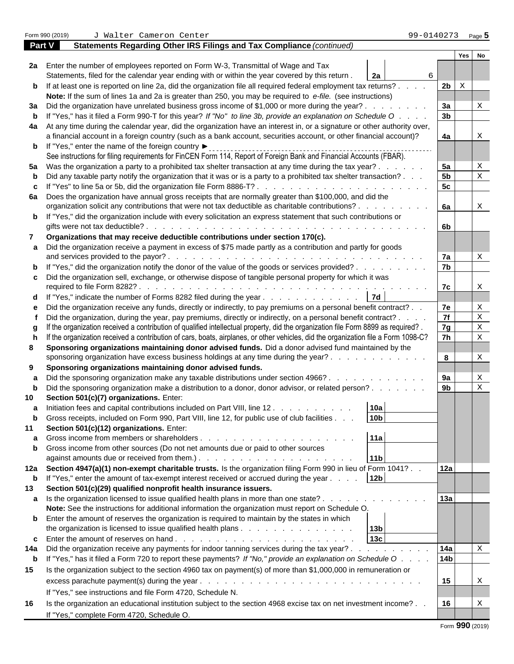Form 990 (2019) J Walter Cameron Center 99-0140273 <sub>Page</sub> <mark>5</mark> **Part V Statements Regarding Other IRS Filings and Tax Compliance** *(continued)* **Yes No 2a** Enter the number of employees reported on Form W-3, Transmittal of Wage and Tax Statements, filed for the calendar year ending with or within the year covered by this return . **2a b** If at least one is reported on line 2a, did the organization file all required federal employment tax returns? . . . . | 2b | X **Note:** If the sum of lines 1a and 2a is greater than 250, you may be required to *e-file.* (see instructions) **3a** Did the organization have unrelated business gross income of \$1,000 or more during the year? . . . . . . . . . . 3a | | X **b** If "Yes," has it filed a Form 990-T for this year? *If "No" to line 3b, provide an explanation on Schedule O* . . . . **3b 4a** At any time during the calendar year, did the organization have an interest in, or a signature or other authority over, a financial account in a foreign country (such as a bank account, securities account, or other financial account)? **4a b** If "Yes," enter the name of the foreign country See instructions for filing requirements for FinCEN Form 114, Report of Foreign Bank and Financial Accounts (FBAR). **5a** Was the organization a party to a prohibited tax shelter transaction at any time during the tax year? . . . . . . **5a b** Did any taxable party notify the organization that it was or is a party to a prohibited tax shelter transaction? . . .  $\begin{vmatrix} 5b \end{vmatrix} \begin{vmatrix} x \\ y \end{vmatrix}$ **c** If "Yes" to line 5a or 5b, did the organization file Form 8886-T? . . . . . . . . . . . . . . . . . . . . . **5c 6a** Does the organization have annual gross receipts that are normally greater than \$100,000, and did the organization solicit any contributions that were not tax deductible as charitable contributions? . . . . . . . . . **6a b** If "Yes," did the organization include with every solicitation an express statement that such contributions or gifts were not tax deductible? . . . . . . . . . . . . . . . . . . . . . . . . . . . . . . . . . . **6b 7 Organizations that may receive deductible contributions under section 170(c). a** Did the organization receive a payment in excess of \$75 made partly as a contribution and partly for goods and services provided to the payor? . . . . . . . . . . . . . . . . . . . . . . . . . . . . . . . **7a b** If "Yes," did the organization notify the donor of the value of the goods or services provided? . . . . . . . . . . 7b **c** Did the organization sell, exchange, or otherwise dispose of tangible personal property for which it was required to file Form 8282? . . . . . . . . . . . . . . . . . . . . . . . . . . . . . . . . . . . **7c d** If "Yes," indicate the number of Forms 8282 filed during the year . . . . . . . . . . . . . . 7d **e** Did the organization receive any funds, directly or indirectly, to pay premiums on a personal benefit contract? . . **7e f** Did the organization, during the year, pay premiums, directly or indirectly, on a personal benefit contract? . . . . **7f** |  $\mathbf{X}$ **g** If the organization received a contribution of qualified intellectual property, did the organization file Form 8899 as required? . **7g** |  $\mathbf{x}$ **h** If the organization received a contribution of cars, boats, airplanes, or other vehicles, did the organization file a Form 1098-C? **7h**  $\vert x \vert$ **8 Sponsoring organizations maintaining donor advised funds.** Did a donor advised fund maintained by the sponsoring organization have excess business holdings at any time during the year? . . . . . . . . . . . . . **8** |  $\vert$  X **9 Sponsoring organizations maintaining donor advised funds. a** Did the sponsoring organization make any taxable distributions under section 4966? . . . . . . . . . . . . . 9a | | X **b** Did the sponsoring organization make a distribution to a donor, donor advisor, or related person? . . . . . . . . 9b | | X **10 Section 501(c)(7) organizations.** Enter: **a** Initiation fees and capital contributions included on Part VIII, line 12 . . . . . . . . . . . 10a **b** Gross receipts, included on Form 990, Part VIII, line 12, for public use of club facilities . . . **10b 11 Section 501(c)(12) organizations.** Enter: **a** Gross income from members or shareholders . . . . . . . . . . . . . . . . . . . **11a b** Gross income from other sources (Do not net amounts due or paid to other sources against amounts due or received from them.) . . . . . . . . . . . . . . . . . . . **11b 12a Section 4947(a)(1) non-exempt charitable trusts.** Is the organization filing Form 990 in lieu of Form 1041? . . **12a b** If "Yes," enter the amount of tax-exempt interest received or accrued during the year . . . . **12b 13 Section 501(c)(29) qualified nonprofit health insurance issuers. a** Is the organization licensed to issue qualified health plans in more than one state? . . . . . . . . . . . . . . . 13a **Note:** See the instructions for additional information the organization must report on Schedule O. **b** Enter the amount of reserves the organization is required to maintain by the states in which the organization is licensed to issue qualified health plans . . . . . . . . . . . . . . **13b c** Enter the amount of reserves on hand . . . . . . . . . . . . . . . . . . . . . . **13c 14a** Did the organization receive any payments for indoor tanning services during the tax year? . . . . . . . . . . . 14a **b** If "Yes," has it filed a Form 720 to report these payments? *If "No," provide an explanation on Schedule O* . . . . **14b 15** Is the organization subject to the section 4960 tax on payment(s) of more than \$1,000,000 in remuneration or excess parachute payment(s) during the year . . . . . . . . . . . . . . . . . . . . . . . . . . . **15** If "Yes," see instructions and file Form 4720, Schedule N. **16** Is the organization an educational institution subject to the section 4968 excise tax on net investment income? . . **16** If "Yes," complete Form 4720, Schedule O. 6 | | | X X X X X X X X X X X X X X X X X X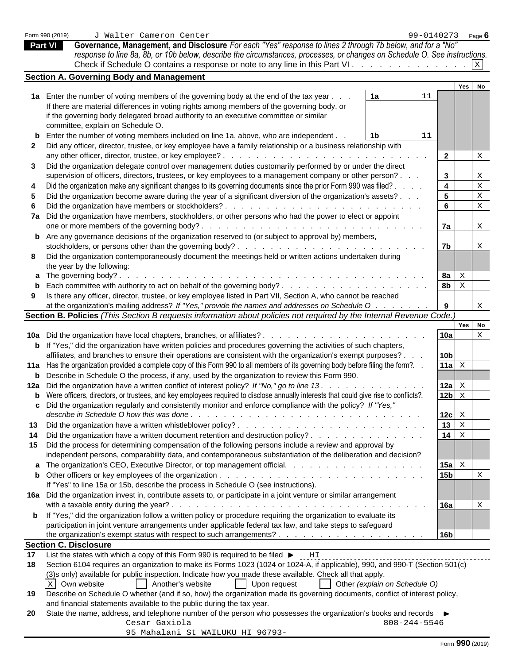|  |  | Form 990 (2019) |
|--|--|-----------------|
|--|--|-----------------|

**Part VI Governance, Management, and Disclosure** *For each "Yes" response to lines 2 through 7b below, and for a "No" response to line 8a, 8b, or 10b below, describe the circumstances, processes, or changes on Schedule O. See instructions.* Check if Schedule O contains a response or note to any line in this Part VI .  $\ldots$  . . . . . . . . . . . .  $\mathbb{X}$ X

|    | Section A. Governing Body and Management                                                                                                      |                                            |             |                           |  |
|----|-----------------------------------------------------------------------------------------------------------------------------------------------|--------------------------------------------|-------------|---------------------------|--|
|    |                                                                                                                                               |                                            | Yes No      |                           |  |
|    | 1a Enter the number of voting members of the governing body at the end of the tax year.<br>1a                                                 |                                            |             |                           |  |
|    | If there are material differences in voting rights among members of the governing body, or                                                    |                                            |             |                           |  |
|    | if the governing body delegated broad authority to an executive committee or similar                                                          |                                            |             |                           |  |
|    | committee, explain on Schedule O.                                                                                                             |                                            |             |                           |  |
|    | <b>b</b> Enter the number of voting members included on line 1a, above, who are independent.<br>11<br>1b.                                     |                                            |             |                           |  |
|    | 2 Did any officer, director, trustee, or key employee have a family relationship or a business relationship with                              |                                            |             |                           |  |
|    |                                                                                                                                               | $\overline{2}$                             |             | X                         |  |
| 3  | Did the organization delegate control over management duties customarily performed by or under the direct                                     |                                            |             |                           |  |
|    | supervision of officers, directors, trustees, or key employees to a management company or other person?                                       | $\mathbf{3}$                               |             | X                         |  |
|    | Did the organization make any significant changes to its governing documents since the prior Form 990 was filed?.                             | $\overline{\mathbf{4}}$                    |             | $\mathbf X$               |  |
|    |                                                                                                                                               |                                            |             |                           |  |
|    | Did the organization become aware during the year of a significant diversion of the organization's assets?.                                   | 5 <sub>5</sub>                             |             | $\mathbf X$               |  |
|    |                                                                                                                                               | $6\overline{6}$                            |             | $\mathbf X$               |  |
|    | 7a Did the organization have members, stockholders, or other persons who had the power to elect or appoint                                    |                                            |             |                           |  |
|    |                                                                                                                                               | 7a                                         |             | X                         |  |
|    | <b>b</b> Are any governance decisions of the organization reserved to (or subject to approval by) members,                                    |                                            |             |                           |  |
|    |                                                                                                                                               | 7 <sub>b</sub>                             |             | X                         |  |
|    | 8 Did the organization contemporaneously document the meetings held or written actions undertaken during                                      |                                            |             |                           |  |
|    | the year by the following:                                                                                                                    |                                            |             |                           |  |
|    | <b>a</b> The governing body?.                                                                                                                 | 8a $\vert$ $\boldsymbol{\mathsf{x}}$       |             |                           |  |
|    |                                                                                                                                               | 8 <sub>b</sub>                             | $\mathbf X$ |                           |  |
|    | Is there any officer, director, trustee, or key employee listed in Part VII, Section A, who cannot be reached                                 |                                            |             |                           |  |
|    | at the organization's mailing address? If "Yes," provide the names and addresses on Schedule O                                                | 9                                          |             | $\boldsymbol{\mathrm{X}}$ |  |
|    | Section B. Policies (This Section B requests information about policies not required by the Internal Revenue Code.)                           |                                            |             |                           |  |
|    |                                                                                                                                               |                                            | Yes No      |                           |  |
|    | <b>10a</b> Did the organization have local chapters, branches, or affiliates?                                                                 | 10a                                        |             | $\mathbf X$               |  |
|    | <b>b</b> If "Yes," did the organization have written policies and procedures governing the activities of such chapters,                       |                                            |             |                           |  |
|    | affiliates, and branches to ensure their operations are consistent with the organization's exempt purposes?.                                  | 10 <sub>b</sub>                            |             |                           |  |
|    | 11a Has the organization provided a complete copy of this Form 990 to all members of its governing body before filing the form?. .            | 11a $\mathbf{x}$                           |             |                           |  |
|    | <b>b</b> Describe in Schedule O the process, if any, used by the organization to review this Form 990.                                        |                                            |             |                           |  |
|    | 12a Did the organization have a written conflict of interest policy? If "No," go to line 13. .                                                | 12a $\mathbf{x}$                           |             |                           |  |
|    | <b>b</b> Were officers, directors, or trustees, and key employees required to disclose annually interests that could give rise to conflicts?. | $12b \times$                               |             |                           |  |
|    | c Did the organization regularly and consistently monitor and enforce compliance with the policy? If "Yes,"                                   |                                            |             |                           |  |
|    |                                                                                                                                               | $12c \, \overline{\phantom{a}} \times$     |             |                           |  |
|    |                                                                                                                                               |                                            |             |                           |  |
|    |                                                                                                                                               | $13 \mid X$                                |             |                           |  |
| 14 | Did the organization have a written document retention and destruction policy?                                                                | $14 \mid x$                                |             |                           |  |
|    | 15 Did the process for determining compensation of the following persons include a review and approval by                                     |                                            |             |                           |  |
|    | independent persons, comparability data, and contemporaneous substantiation of the deliberation and decision?                                 |                                            |             |                           |  |
|    | a The organization's CEO, Executive Director, or top management official.                                                                     | 15a $\vert$ $\boldsymbol{\mathsf{x}}\vert$ |             |                           |  |
|    |                                                                                                                                               | 15 <sub>b</sub>                            |             | X                         |  |
|    | If "Yes" to line 15a or 15b, describe the process in Schedule O (see instructions).                                                           |                                            |             |                           |  |
|    | 16a Did the organization invest in, contribute assets to, or participate in a joint venture or similar arrangement                            |                                            |             |                           |  |
|    |                                                                                                                                               | 16a                                        |             | X                         |  |
|    | <b>b</b> If "Yes," did the organization follow a written policy or procedure requiring the organization to evaluate its                       |                                            |             |                           |  |
|    | participation in joint venture arrangements under applicable federal tax law, and take steps to safeguard                                     |                                            |             |                           |  |
|    |                                                                                                                                               | 16b                                        |             |                           |  |
|    | <b>Section C. Disclosure</b>                                                                                                                  |                                            |             |                           |  |
| 17 |                                                                                                                                               |                                            |             |                           |  |
| 18 | Section 6104 requires an organization to make its Forms 1023 (1024 or 1024-A, if applicable), 990, and 990-T (Section 501(c)                  |                                            |             |                           |  |
|    | (3) sonly) available for public inspection. Indicate how you made these available. Check all that apply.                                      |                                            |             |                           |  |
|    | Another's website<br>Upon request<br>Other (explain on Schedule O)<br>X Own website                                                           |                                            |             |                           |  |
| 19 | Describe on Schedule O whether (and if so, how) the organization made its governing documents, conflict of interest policy,                   |                                            |             |                           |  |
|    | and financial statements available to the public during the tax year.                                                                         |                                            |             |                           |  |
|    | State the name, address, and telephone number of the person who possesses the organization's books and records ▶                              |                                            |             |                           |  |
| 20 |                                                                                                                                               |                                            |             |                           |  |
|    |                                                                                                                                               |                                            |             |                           |  |
|    | 95 Mahalani St WAILUKU HI 96793-                                                                                                              |                                            |             |                           |  |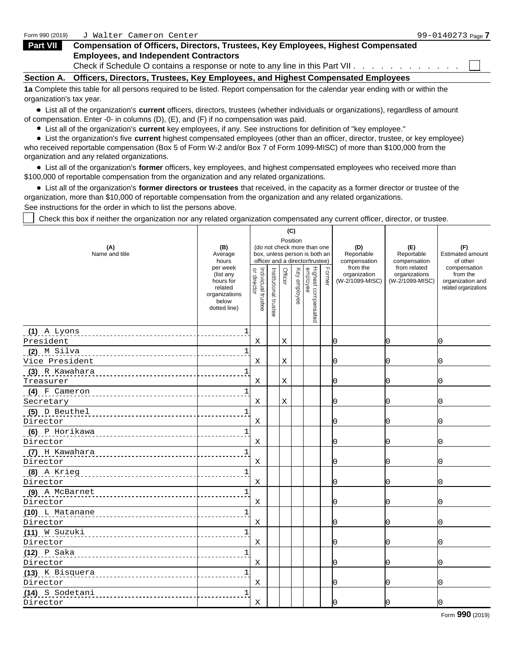| Form 990 (2019)   | Walter Cameron Center "                                                                                                        | 99-0140273 <sub>Page</sub> 7 |
|-------------------|--------------------------------------------------------------------------------------------------------------------------------|------------------------------|
| Part VII          | <b>Compensation of Officers, Directors, Trustees, Key Employees, Highest Compensated</b>                                       |                              |
|                   | <b>Employees, and Independent Contractors</b><br>Check if Schedule O contains a response or note to any line in this Part VII. |                              |
| <b>Section A.</b> | <b>Officers, Directors, Trustees, Key Employees, and Highest Compensated Employees</b>                                         |                              |

**1a** Complete this table for all persons required to be listed. Report compensation for the calendar year ending with or within the organization's tax year.

List all of the organization's **current** officers, directors, trustees (whether individuals or organizations), regardless of amount of compensation. Enter -0- in columns (D), (E), and (F) if no compensation was paid.

List all of the organization's **current** key employees, if any. See instructions for definition of "key employee."

List the organization's five **current** highest compensated employees (other than an officer, director, trustee, or key employee) who received reportable compensation (Box 5 of Form W-2 and/or Box 7 of Form 1099-MISC) of more than \$100,000 from the organization and any related organizations.

List all of the organization's **former** officers, key employees, and highest compensated employees who received more than \$100,000 of reportable compensation from the organization and any related organizations.

List all of the organization's **former directors or trustees** that received, in the capacity as a former director or trustee of the organization, more than \$10,000 of reportable compensation from the organization and any related organizations.

See instructions for the order in which to list the persons above.

Check this box if neither the organization nor any related organization compensated any current officer, director, or trustee.

|                       |                                                                                         |                                                    |                          | (C)      |                                                                                                |                                            |                                                  |                                                                       |
|-----------------------|-----------------------------------------------------------------------------------------|----------------------------------------------------|--------------------------|----------|------------------------------------------------------------------------------------------------|--------------------------------------------|--------------------------------------------------|-----------------------------------------------------------------------|
| (A)<br>Name and title | (B)<br>Average<br>hours                                                                 |                                                    |                          | Position | (do not check more than one<br>box, unless person is both an<br>officer and a director/trustee | (D)<br>Reportable<br>compensation          | (E)<br>Reportable<br>compensation                | (F)<br><b>Estimated amount</b><br>of other                            |
|                       | per week<br>(list any<br>hours for<br>related<br>organizations<br>below<br>dotted line) | Individual<br>nr directo<br>$\Rightarrow$<br>ustee | Institutional<br>trustee | ΟÆ       | Highest comper<br>employee<br>Rey employee<br>$\bar{a}$                                        | from the<br>organization<br>W-2/1099-MISC) | from related<br>organizations<br>(W-2/1099-MISC) | compensation<br>from the<br>organization and<br>related organizations |
| $(1)$ A Lyons         |                                                                                         |                                                    |                          |          |                                                                                                |                                            |                                                  |                                                                       |
| President             |                                                                                         | X                                                  |                          |          |                                                                                                |                                            |                                                  |                                                                       |
| <u>(2) M Silva</u>    |                                                                                         |                                                    |                          |          |                                                                                                |                                            |                                                  |                                                                       |
| Vice President        |                                                                                         | X                                                  |                          |          |                                                                                                |                                            |                                                  |                                                                       |
| (3) R Kawahara        |                                                                                         |                                                    |                          |          |                                                                                                |                                            |                                                  |                                                                       |
| Treasurer             | .                                                                                       | X                                                  |                          |          |                                                                                                |                                            |                                                  |                                                                       |
| $(4)$ F Cameron       |                                                                                         |                                                    |                          |          |                                                                                                |                                            |                                                  |                                                                       |
| Secretary             | -------------                                                                           | $\boldsymbol{\mathrm{X}}$                          |                          |          |                                                                                                |                                            |                                                  |                                                                       |
| (5) D Beuthel         |                                                                                         |                                                    |                          |          |                                                                                                |                                            |                                                  |                                                                       |
| Director              |                                                                                         | X                                                  |                          |          |                                                                                                |                                            |                                                  |                                                                       |
| $(6)$ P Horikawa      |                                                                                         |                                                    |                          |          |                                                                                                |                                            |                                                  |                                                                       |
| Director              |                                                                                         | X                                                  |                          |          |                                                                                                |                                            |                                                  |                                                                       |
|                       |                                                                                         |                                                    |                          |          |                                                                                                |                                            |                                                  |                                                                       |
| Director              | .                                                                                       | X                                                  |                          |          |                                                                                                |                                            |                                                  |                                                                       |
| (8) A Krieg           |                                                                                         |                                                    |                          |          |                                                                                                |                                            |                                                  |                                                                       |
| Director              |                                                                                         | X                                                  |                          |          |                                                                                                |                                            |                                                  |                                                                       |
| (9) A McBarnet        |                                                                                         |                                                    |                          |          |                                                                                                |                                            |                                                  |                                                                       |
| Director              |                                                                                         | $\boldsymbol{\mathrm{X}}$                          |                          |          |                                                                                                |                                            |                                                  |                                                                       |
| (10) L Matanane       |                                                                                         |                                                    |                          |          |                                                                                                |                                            |                                                  |                                                                       |
| Director              |                                                                                         | $\boldsymbol{\mathrm{X}}$                          |                          |          |                                                                                                |                                            |                                                  |                                                                       |
| (11) W Suzuki         | -------------                                                                           |                                                    |                          |          |                                                                                                |                                            |                                                  |                                                                       |
| Director              |                                                                                         | X                                                  |                          |          |                                                                                                |                                            |                                                  |                                                                       |
| (12) P Saka           |                                                                                         |                                                    |                          |          |                                                                                                |                                            |                                                  |                                                                       |
| Director              |                                                                                         | X                                                  |                          |          |                                                                                                |                                            |                                                  |                                                                       |
| (13) K Bisquera       |                                                                                         |                                                    |                          |          |                                                                                                |                                            |                                                  |                                                                       |
| Director              |                                                                                         | X                                                  |                          |          |                                                                                                |                                            |                                                  |                                                                       |
| (14) S Sodetani       | ------------                                                                            |                                                    |                          |          |                                                                                                |                                            |                                                  |                                                                       |
| Director              |                                                                                         | X                                                  |                          |          |                                                                                                |                                            |                                                  |                                                                       |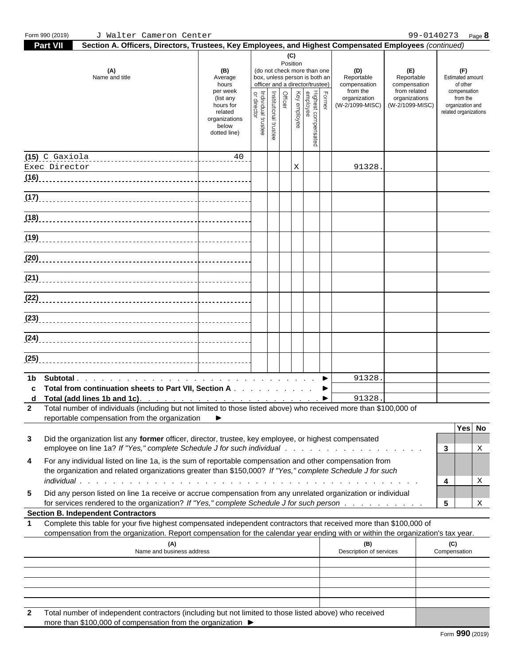| ndent contractors (including but not limited to those listed above<br>$\lambda$ who received<br>Tota<br>ાતા number of indepen $\hat{\ }$<br>$\sim$<br>∵above<br>VVIIL<br><b>וסטסועס</b> |  |
|-----------------------------------------------------------------------------------------------------------------------------------------------------------------------------------------|--|
| e than \$100.000 of compensation from the organization<br>more                                                                                                                          |  |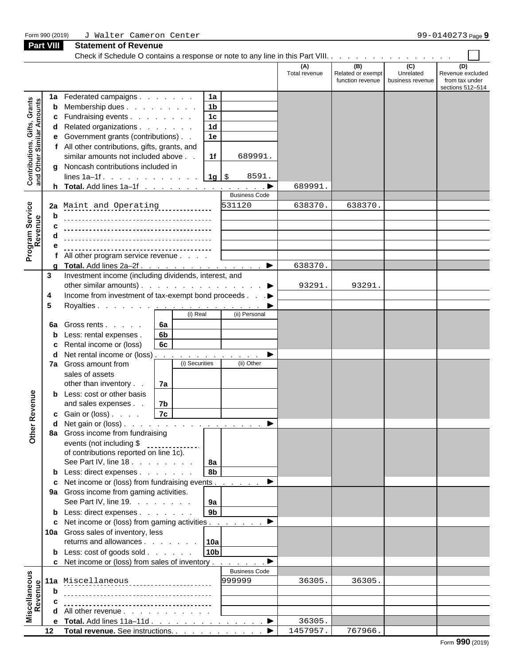| Form 990 (2019)                                                  |             | J Walter Cameron Center                                                                    |                      |                          |                                                       | 99-0140273 Page 9                                             |
|------------------------------------------------------------------|-------------|--------------------------------------------------------------------------------------------|----------------------|--------------------------|-------------------------------------------------------|---------------------------------------------------------------|
| <b>Part VIII</b>                                                 |             | <b>Statement of Revenue</b>                                                                |                      |                          |                                                       |                                                               |
|                                                                  |             |                                                                                            |                      |                          |                                                       |                                                               |
|                                                                  |             |                                                                                            | (A)<br>Total revenue | (B)<br>Related or exempt | (C)<br>Unrelated<br>function revenue business revenue | (D)<br>Revenue excluded<br>from tax under<br>sections 512-514 |
|                                                                  | 1a          | 1a<br>Federated campaigns                                                                  |                      |                          |                                                       |                                                               |
|                                                                  |             | 1 <sub>b</sub><br><b>b</b> Membership dues                                                 |                      |                          |                                                       |                                                               |
|                                                                  |             | 1c<br><b>c</b> Fundraising events                                                          |                      |                          |                                                       |                                                               |
| <b>Contributions, Gifts, Grants</b><br>and Other Similar Amounts |             | 1 <sub>d</sub><br>d Related organizations                                                  |                      |                          |                                                       |                                                               |
|                                                                  |             | 1e<br>e Government grants (contributions)                                                  |                      |                          |                                                       |                                                               |
|                                                                  |             | f All other contributions, gifts, grants, and                                              |                      |                          |                                                       |                                                               |
|                                                                  |             | similar amounts not included above.<br>1f<br>689991.                                       |                      |                          |                                                       |                                                               |
|                                                                  |             | g Noncash contributions included in                                                        |                      |                          |                                                       |                                                               |
|                                                                  |             | lines 1a-1f. 1g $\frac{1}{s}$<br>8591.                                                     |                      |                          |                                                       |                                                               |
|                                                                  |             |                                                                                            | 689991               |                          |                                                       |                                                               |
|                                                                  |             | <b>Business Code</b>                                                                       |                      |                          |                                                       |                                                               |
| Service<br>:nue                                                  |             | 531120<br>2a Maint and Operating.                                                          | 638370               | 638370                   |                                                       |                                                               |
|                                                                  | h           |                                                                                            |                      |                          |                                                       |                                                               |
|                                                                  | $\mathbf c$ |                                                                                            |                      |                          |                                                       |                                                               |
|                                                                  |             |                                                                                            |                      |                          |                                                       |                                                               |
| Program 9                                                        |             |                                                                                            |                      |                          |                                                       |                                                               |
|                                                                  |             | f All other program service revenue                                                        |                      |                          |                                                       |                                                               |
|                                                                  |             |                                                                                            | 638370.              |                          |                                                       |                                                               |
| $3^{\circ}$                                                      |             | Investment income (including dividends, interest, and                                      |                      |                          |                                                       |                                                               |
|                                                                  |             | other similar amounts). $\ldots$ $\ldots$ $\ldots$ $\ldots$ $\ldots$ $\ldots$              | 93291                | 93291                    |                                                       |                                                               |
| 4                                                                |             | Income from investment of tax-exempt bond proceeds ▶                                       |                      |                          |                                                       |                                                               |
| 5                                                                |             |                                                                                            |                      |                          |                                                       |                                                               |
|                                                                  |             | (i) Real<br>(ii) Personal                                                                  |                      |                          |                                                       |                                                               |
|                                                                  |             | 6a<br><b>6a</b> Gross rents                                                                |                      |                          |                                                       |                                                               |
|                                                                  |             | 6 <b>b</b><br><b>b</b> Less: rental expenses.                                              |                      |                          |                                                       |                                                               |
|                                                                  |             | 6c<br>c Rental income or (loss)                                                            |                      |                          |                                                       |                                                               |
|                                                                  |             | <b>d</b> Net rental income or (loss) $\ldots$ $\ldots$ $\ldots$ $\ldots$ $\ldots$ $\ldots$ |                      |                          |                                                       |                                                               |
|                                                                  |             | (i) Securities<br>(ii) Other<br>7a Gross amount from                                       |                      |                          |                                                       |                                                               |
|                                                                  |             | sales of assets                                                                            |                      |                          |                                                       |                                                               |
|                                                                  |             | other than inventory.<br>7a                                                                |                      |                          |                                                       |                                                               |
|                                                                  |             | <b>b</b> Less: cost or other basis                                                         |                      |                          |                                                       |                                                               |
|                                                                  |             | and sales expenses.<br>7b                                                                  |                      |                          |                                                       |                                                               |
|                                                                  |             | 7c <br><b>c</b> Gain or (loss) $\ldots$                                                    |                      |                          |                                                       |                                                               |
| <b>Re</b>                                                        |             |                                                                                            |                      |                          |                                                       |                                                               |
| Other                                                            |             | 8a Gross income from fundraising                                                           |                      |                          |                                                       |                                                               |
|                                                                  |             |                                                                                            |                      |                          |                                                       |                                                               |
|                                                                  |             | events (not including \$<br>of contributions reported on line 1c).                         |                      |                          |                                                       |                                                               |
|                                                                  |             | See Part IV, line 18. $\ldots$ $\ldots$ $\ldots$   8a                                      |                      |                          |                                                       |                                                               |
|                                                                  |             | 8 <sub>b</sub><br><b>b</b> Less: direct expenses                                           |                      |                          |                                                       |                                                               |
|                                                                  |             | c Net income or (loss) from fundraising events ▶                                           |                      |                          |                                                       |                                                               |
|                                                                  |             | 9a Gross income from gaming activities.                                                    |                      |                          |                                                       |                                                               |
|                                                                  |             | │ 9a │<br>See Part IV, line 19.                                                            |                      |                          |                                                       |                                                               |
|                                                                  |             | 9 <sub>b</sub><br><b>b</b> Less: direct expenses                                           |                      |                          |                                                       |                                                               |
|                                                                  |             | c Net income or (loss) from gaming activities ▶                                            |                      |                          |                                                       |                                                               |
|                                                                  |             | 10a Gross sales of inventory, less                                                         |                      |                          |                                                       |                                                               |
|                                                                  |             | returns and allowances $\vert$ 10a                                                         |                      |                          |                                                       |                                                               |
|                                                                  |             | 10 <sub>b</sub><br><b>b</b> Less: cost of goods sold                                       |                      |                          |                                                       |                                                               |
|                                                                  |             | c Net income or (loss) from sales of inventory $\blacktriangleright$                       |                      |                          |                                                       |                                                               |
|                                                                  |             | <b>Business Code</b>                                                                       |                      |                          |                                                       |                                                               |
|                                                                  |             | 11a Miscellaneous<br>999999                                                                | 36305.               | 36305                    |                                                       |                                                               |
|                                                                  | b           |                                                                                            |                      |                          |                                                       |                                                               |
|                                                                  | C           |                                                                                            |                      |                          |                                                       |                                                               |
|                                                                  |             | <b>d</b> All other revenue $\ldots$ $\ldots$ $\ldots$ $\ldots$                             |                      |                          |                                                       |                                                               |
| Miscellaneous<br>Revenue                                         |             | e Total. Add lines 11a-11d ▶                                                               | 36305.               |                          |                                                       |                                                               |
|                                                                  |             | 12 Total revenue. See instructions. ▶                                                      | 1457957.             | 767966.                  |                                                       |                                                               |
|                                                                  |             |                                                                                            |                      |                          |                                                       |                                                               |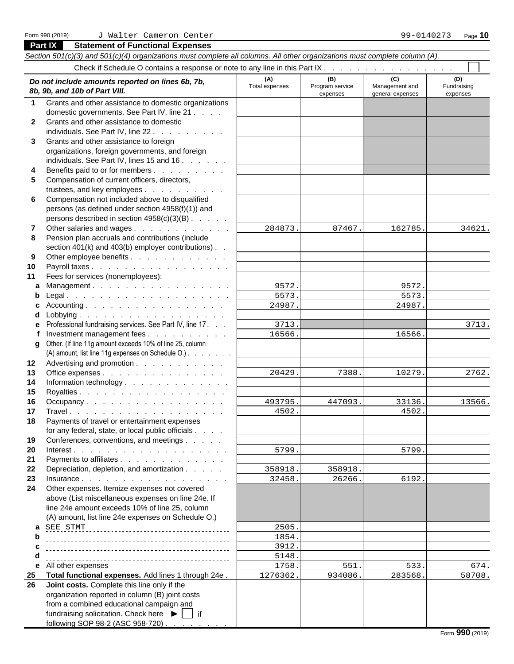**Part IX Statement of Functional Expenses**

#### *Section 501(c)(3) and 501(c)(4) organizations must complete all columns. All other organizations must complete column (A).* Check if Schedule O contains a response or note to any line in this Part IX . . **(A) (B) (C) (D)** Total expenses Program service Management and Fundraising<br> *Rb, 9b, and 10b of Part VIII.*<br>
expenses expenses expenses expenses expenses expenses expenses expenses expenses **8b, 9b, and 10b of Part VIII.** expenses expenses general expenses expenses expenses expenses expenses **1** Grants and other assistance to domestic organizations domestic governments. See Part IV, line 21 . . . . **2** Grants and other assistance to domestic individuals. See Part IV, line 22 . . . . **3** Grants and other assistance to foreign organizations, foreign governments, and foreign individuals. See Part IV, lines 15 and  $16. \ldots$ . **4** Benefits paid to or for members . . . . . . . . . **5** Compensation of current officers, directors, trustees, and key employees . . . . . . . . . . . **6** Compensation not included above to disqualified persons (as defined under section 4958(f)(1)) and persons described in section  $4958(c)(3)(B)$ . . . . . **7** Other salaries and wages . . . . . . . . . . . . . | 284873. | 87467. | 162785 **8** Pension plan accruals and contributions (include section 401(k) and 403(b) employer contributions). . **9** Other employee benefits . . . . . . . . . . . . **10** Payroll taxes . . . . . . . . . . . . . . . . . **11** Fees for services (nonemployees): **a** Management . . . . . . . . . . . . . . . . . **b** Legal . . . . . . . . . . . . . . . . . . . . **c** Accounting . . . . . . . . . . . . . . . . . . <u>24987.</u> 24987. **d** Lobbying . . . . . . . . . . . . . . . . . . **e** Professional fundraising services. See Part IV, line 17. . . **f** Investment management fees . . . . . . . . . | 16566. | | 16566. **g** Other. (If line 11g amount exceeds 10% of line 25, column (A) amount, list line 11g expenses on Schedule O.) . . . . . . . . **12** Advertising and promotion . . . . . . . . . . . **13** Office expenses . . . . . . . . . . . . . . . 14 Information technology . . . . . . . . . . . . . **15** Royalties . . . . . . . . . . . . . . . . . . **16** Occupancy . . . . . . . . . . . . . . . . . <u>| 493795. 447093. 33136</u> **17** Travel . . . . . . . . . . . . . . . . . . . **18** Payments of travel or entertainment expenses for any federal, state, or local public officials . . . . **19** Conferences, conventions, and meetings . . . . . **20** Interest . . . . . . . . . . . . . . . . . . . 21 Payments to affiliates . . . . . . . . . . . . . **22** Depreciation, depletion, and amortization . . . . . . | 358918. **23** Insurance . . . . . . . . . . . . . . . . . . **24** Other expenses. Itemize expenses not covered above (List miscellaneous expenses on line 24e. If line 24e amount exceeds 10% of line 25, column (A) amount, list line 24e expenses on Schedule O.) **a**  SEE STMT 2505. **b c**  $\qquad \qquad \ldots$  **c**  $\qquad \qquad \ldots$  **c**  $\qquad \qquad \ldots$  **c d e** All other expenses **discussed to the contract of the CO** is a set of the contract of the contract of the contract of the contract of the contract of the contract of the contract of the contract of the contract of the c **25 Total functional expenses.** Add lines 1 through 24e .  $\vert$  1276362. 934086. 283568. **26 Joint costs.** Complete this line only if the organization reported in column (B) joint costs from a combined educational campaign and fundraising solicitation. Check here  $\blacktriangleright$   $\blacktriangleright$  if following SOP 98-2 (ASC 958-720). 284873. 87467. 162785. 34621. 9572. 9572. 5573. 5573. 24987. 24987. 3713. 3713. 16566. 16566. 20429. 7388. 10279. 2762. 493795. 447093. 33136. 13566. 4502. 4502. 5799. 5799. 358918. 358918.  $32458.$  26266. 6192. 1854. 3912. 5148. 1758. 551. 533. 674. 1276362. 934086. 283568. 58708.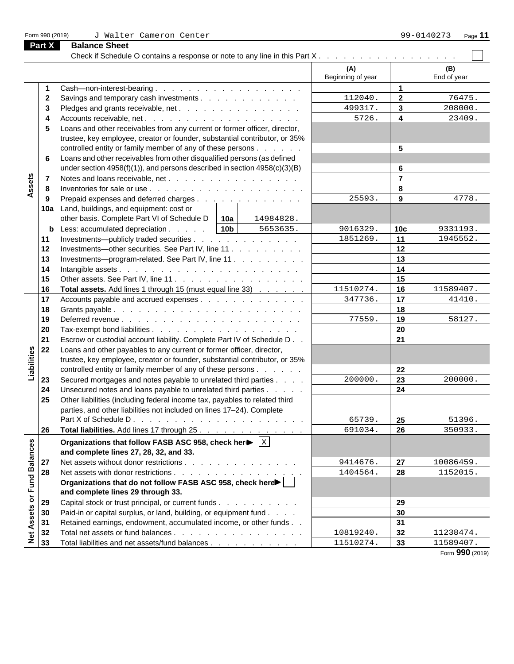| Form 990 (2019) |  |  |  |
|-----------------|--|--|--|
|-----------------|--|--|--|

Check if Schedule O contains a response or note to any line in this Part  $X_1, \ldots, \ldots, \ldots, \ldots, \ldots$ **(A) (B)** Beginning of year | End of year **1** Cash—non-interest-bearing . . . . . . . . . . . . . . . . . . **1 2** Savings and temporary cash investments . . . . . . . . . . . . 112040. **2**  $\vert$  76475  $112040.$  2 76475. 499317. 3 208000. **3** Pledges and grants receivable, net . . . . . . . . . . . . . . . . | 499317. | **3** | 208000. **4** Accounts receivable, net . . . . . . . . . . . . . . . . . . . **4**  $5726.$  4 23409. **5** Loans and other receivables from any current or former officer, director, trustee, key employee, creator or founder, substantial contributor, or 35% controlled entity or family member of any of these persons . . . . . . **5 6** Loans and other receivables from other disqualified persons (as defined under section 4958(f)(1)), and persons described in section 4958(c)(3)(B) **6** Assets **7** Notes and loans receivable, net . . . . . . . . . . . . . . . . **7 8** Inventories for sale or use . . . . . . . . . . . . . . . . . . . **8 9** Prepaid expenses and deferred charges . . . . . . . . . . . . . . 25593. **9**  $\vert$  4778.  $25593.$  **9**  $4778.$ **10a** Land, buildings, and equipment: cost or other basis. Complete Part VI of Schedule D **10a** 14984828. **b** Less: accumulated depreciation . . . . . 10b | 5653635. | 9016329. | 10c | 9331193. 5653635. 9016329. **10c** 9331193. **11** Investments—publicly traded securities . . . . . . . . . . . . . . . 1851269. 11 | 1945552.  $1851269.$  11 1945552. **12** Investments—other securities. See Part IV, line 11 . . . . . . . . . . | **13** Investments—program-related. See Part IV, line 11 . . . . . . . . . **13 14** Intangible assets . . . . . . . . . . . . . . . . . . . . . . **14 15** Other assets. See Part IV, line 11 . . . . . . . . . . . . . . . . **15 16 Total assets.** Add lines 1 through 15 (must equal line 33)  $\ldots$ ,  $\ldots$  1510274. 16 16 11589407.  $11510274.$  16 11589407. **17** Accounts payable and accrued expenses . . . . . . . . . . . . . . 347736. 17 | 41410.  $347736.$  **17**  $41410.$ **18** Grants payable . . . . . . . . . . . . . . . . . . . . . . . **18 19** Deferred revenue . . . . . . . . . . . . . . . . . . . . . . **19**  $77559.$  19 58127. **20** Tax-exempt bond liabilities . . . . . . . . . . . . . . . . . . **20 21** Escrow or custodial account liability. Complete Part IV of Schedule D . . **21 22** Loans and other payables to any current or former officer, director, Liabilities trustee, key employee, creator or founder, substantial contributor, or 35% controlled entity or family member of any of these persons . . . . . . **22 23** Secured mortgages and notes payable to unrelated third parties . . . . 200000. 23 | 23 | 200000.  $200000$ . **23** 200000. **24** Disecured notes and loans payable to unrelated third parties . . . . . . | **25** Other liabilities (including federal income tax, payables to related third parties, and other liabilities not included on lines 17–24). Complete Part X of Schedule D . . . . . . . . . . . . . . . . . . . . . **25**  $65739.$  **25** 51396. **26 Total liabilities.** Add lines 17 through 25. . . . . . . . . . . . . . . . 691034. 26 350933.  $691034.$  26 350933. Net Assets or Fund Balances **Organizations that follow FASB ASC 958, check here** |  $\times$  |  $\mathbf{x}$  , and the contract of the contract of the contract of the contract of the contract of the contract of the contract of the contract of the contract of the contract of the contract of the contract of the contract of **and complete lines 27, 28, 32, and 33. 27** Net assets without donor restrictions . . . . . . . . . . . . . . . 9414676. 27 | 10086459. 9414676. **27** 10086459. **28** Net assets with donor restrictions . . . . . . . . . . . . . . . . . 1404564. **28** 1152015. 1404564. 1152015. **Organizations that do not follow FASB ASC 958, check here and complete lines 29 through 33. 29** Capital stock or trust principal, or current funds . . . . . . . . . . . . | **30** Paid-in or capital surplus, or land, building, or equipment fund . . . .  $\qquad$  | **31** Retained earnings, endowment, accumulated income, or other funds . . **31**  $10819240.$  32 11238474. **32** Total net assets or fund balances . . . . . . . . . . . . . . . . . | 10819240. | **32** | 11238474. 11589407. **33** Total liabilities and net assets/fund balances . . . . . . . . . . . . | 11510274. 33

**Part X Balance Sheet**

Form **990** (2019)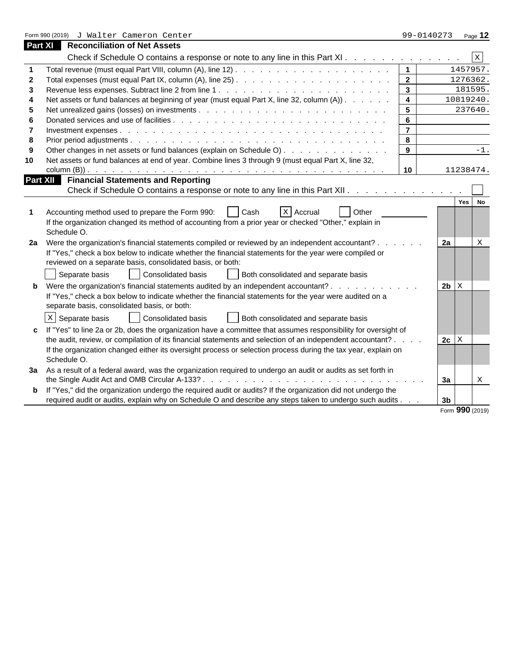|              | Form 990 (2019) J Walter Cameron Center                                                                                                                                                                                                                                                                                                                                                                                                                                                                                                                                                                                                                                                                                                                                                                                                                                                                                                                       | 99-0140273      | Page 12                                |  |  |  |
|--------------|---------------------------------------------------------------------------------------------------------------------------------------------------------------------------------------------------------------------------------------------------------------------------------------------------------------------------------------------------------------------------------------------------------------------------------------------------------------------------------------------------------------------------------------------------------------------------------------------------------------------------------------------------------------------------------------------------------------------------------------------------------------------------------------------------------------------------------------------------------------------------------------------------------------------------------------------------------------|-----------------|----------------------------------------|--|--|--|
|              | <b>Part XI</b> Reconciliation of Net Assets                                                                                                                                                                                                                                                                                                                                                                                                                                                                                                                                                                                                                                                                                                                                                                                                                                                                                                                   |                 |                                        |  |  |  |
|              | Check if Schedule O contains a response or note to any line in this Part XI.                                                                                                                                                                                                                                                                                                                                                                                                                                                                                                                                                                                                                                                                                                                                                                                                                                                                                  |                 | $\,$ x                                 |  |  |  |
|              |                                                                                                                                                                                                                                                                                                                                                                                                                                                                                                                                                                                                                                                                                                                                                                                                                                                                                                                                                               | $\overline{1}$  | 1457957.                               |  |  |  |
| $\mathbf{2}$ |                                                                                                                                                                                                                                                                                                                                                                                                                                                                                                                                                                                                                                                                                                                                                                                                                                                                                                                                                               | $\overline{2}$  | 1276362.                               |  |  |  |
|              |                                                                                                                                                                                                                                                                                                                                                                                                                                                                                                                                                                                                                                                                                                                                                                                                                                                                                                                                                               | 3 <sup>1</sup>  | 181595.                                |  |  |  |
|              | Net assets or fund balances at beginning of year (must equal Part X, line 32, column (A))                                                                                                                                                                                                                                                                                                                                                                                                                                                                                                                                                                                                                                                                                                                                                                                                                                                                     | $\overline{4}$  | 10819240.                              |  |  |  |
|              |                                                                                                                                                                                                                                                                                                                                                                                                                                                                                                                                                                                                                                                                                                                                                                                                                                                                                                                                                               | $5\overline{)}$ | 237640.                                |  |  |  |
|              |                                                                                                                                                                                                                                                                                                                                                                                                                                                                                                                                                                                                                                                                                                                                                                                                                                                                                                                                                               | 6               |                                        |  |  |  |
|              |                                                                                                                                                                                                                                                                                                                                                                                                                                                                                                                                                                                                                                                                                                                                                                                                                                                                                                                                                               | $\overline{7}$  |                                        |  |  |  |
|              |                                                                                                                                                                                                                                                                                                                                                                                                                                                                                                                                                                                                                                                                                                                                                                                                                                                                                                                                                               | 8               |                                        |  |  |  |
|              | Other changes in net assets or fund balances (explain on Schedule O)                                                                                                                                                                                                                                                                                                                                                                                                                                                                                                                                                                                                                                                                                                                                                                                                                                                                                          | 9               | $-1$ .                                 |  |  |  |
| 10           | Net assets or fund balances at end of year. Combine lines 3 through 9 (must equal Part X, line 32,                                                                                                                                                                                                                                                                                                                                                                                                                                                                                                                                                                                                                                                                                                                                                                                                                                                            |                 |                                        |  |  |  |
|              |                                                                                                                                                                                                                                                                                                                                                                                                                                                                                                                                                                                                                                                                                                                                                                                                                                                                                                                                                               | 10              | 11238474.                              |  |  |  |
|              | <b>Financial Statements and Reporting</b><br><b>Part XII</b>                                                                                                                                                                                                                                                                                                                                                                                                                                                                                                                                                                                                                                                                                                                                                                                                                                                                                                  |                 |                                        |  |  |  |
|              | Check if Schedule O contains a response or note to any line in this Part XII.                                                                                                                                                                                                                                                                                                                                                                                                                                                                                                                                                                                                                                                                                                                                                                                                                                                                                 |                 |                                        |  |  |  |
|              | Other<br>Accounting method used to prepare the Form 990:<br>  X   Accrual<br>□ I Cash<br>If the organization changed its method of accounting from a prior year or checked "Other," explain in<br>Schedule O.<br>2a Were the organization's financial statements compiled or reviewed by an independent accountant?.<br>If "Yes," check a box below to indicate whether the financial statements for the year were compiled or<br>reviewed on a separate basis, consolidated basis, or both:<br>Separate basis<br>Consolidated basis<br>Both consolidated and separate basis<br><b>b</b> Were the organization's financial statements audited by an independent accountant?<br>and a state of the state of the<br>If "Yes," check a box below to indicate whether the financial statements for the year were audited on a<br>separate basis, consolidated basis, or both:<br>$x$ Separate basis<br>Consolidated basis<br>Both consolidated and separate basis |                 | 2a<br>$2b \, \overline{\phantom{a}} x$ |  |  |  |
|              | c If "Yes" to line 2a or 2b, does the organization have a committee that assumes responsibility for oversight of<br>the audit, review, or compilation of its financial statements and selection of an independent accountant? .<br>If the organization changed either its oversight process or selection process during the tax year, explain on<br>Schedule O.                                                                                                                                                                                                                                                                                                                                                                                                                                                                                                                                                                                               |                 | $2c \mid X$                            |  |  |  |
|              | 3a As a result of a federal award, was the organization required to undergo an audit or audits as set forth in                                                                                                                                                                                                                                                                                                                                                                                                                                                                                                                                                                                                                                                                                                                                                                                                                                                |                 | 3a<br>X                                |  |  |  |
|              | <b>b</b> If "Yes," did the organization undergo the required audit or audits? If the organization did not undergo the                                                                                                                                                                                                                                                                                                                                                                                                                                                                                                                                                                                                                                                                                                                                                                                                                                         |                 |                                        |  |  |  |
|              | required audit or audits, explain why on Schedule O and describe any steps taken to undergo such audits.                                                                                                                                                                                                                                                                                                                                                                                                                                                                                                                                                                                                                                                                                                                                                                                                                                                      |                 | 3 <sub>b</sub>                         |  |  |  |
|              |                                                                                                                                                                                                                                                                                                                                                                                                                                                                                                                                                                                                                                                                                                                                                                                                                                                                                                                                                               |                 | Form 990 (2019)                        |  |  |  |

|  | Form 990 (2019) |
|--|-----------------|
|  |                 |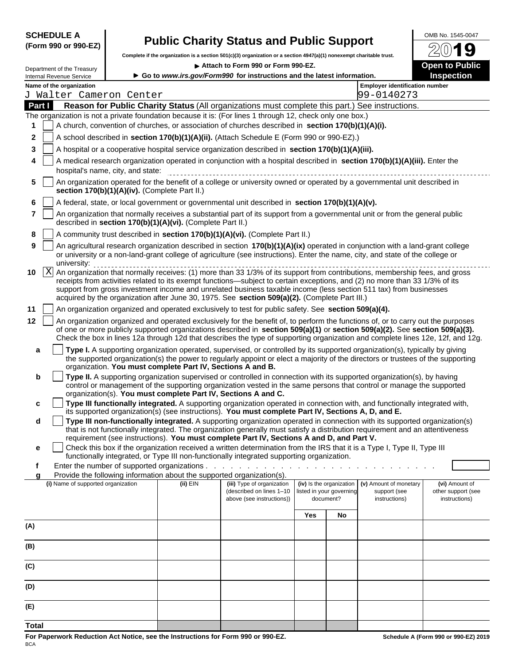### **SCHEDULE A** OMB No. 1545-0047 **(Form 990 or 990-EZ) Public Charity Status and Public Support**

**Complete if the organization is a section 501(c)(3) organization or a section 4947(a)(1) nonexempt charitable trust.** 

| Department of the Treasury                                                                                 |                                                            | Attach to Form 990 or Form 990-EZ.<br>► Go to www.irs.gov/Form990 for instructions and the latest information. |     |                                                                                                                                                                                                                                                                 | <b>Open to Public</b>               |
|------------------------------------------------------------------------------------------------------------|------------------------------------------------------------|----------------------------------------------------------------------------------------------------------------|-----|-----------------------------------------------------------------------------------------------------------------------------------------------------------------------------------------------------------------------------------------------------------------|-------------------------------------|
| <b>Internal Revenue Service</b>                                                                            |                                                            |                                                                                                                |     |                                                                                                                                                                                                                                                                 | <b>Inspection</b>                   |
| Name of the organization<br>J Walter Cameron Center                                                        |                                                            |                                                                                                                |     | <b>Employer identification number</b><br>99-0140273                                                                                                                                                                                                             |                                     |
| Part I                                                                                                     |                                                            |                                                                                                                |     | Reason for Public Charity Status (All organizations must complete this part.) See instructions.                                                                                                                                                                 |                                     |
| The organization is not a private foundation because it is: (For lines 1 through 12, check only one box.)  |                                                            |                                                                                                                |     |                                                                                                                                                                                                                                                                 |                                     |
| -1                                                                                                         |                                                            | A church, convention of churches, or association of churches described in section 170(b)(1)(A)(i).             |     |                                                                                                                                                                                                                                                                 |                                     |
| 2 <sup>1</sup>                                                                                             |                                                            | A school described in section 170(b)(1)(A)(ii). (Attach Schedule E (Form 990 or 990-EZ).)                      |     |                                                                                                                                                                                                                                                                 |                                     |
| 3     A hospital or a cooperative hospital service organization described in section $170(b)(1)(A)(iii)$ . |                                                            |                                                                                                                |     |                                                                                                                                                                                                                                                                 |                                     |
| hospital's name, city, and state:                                                                          |                                                            |                                                                                                                |     | A medical research organization operated in conjunction with a hospital described in section 170(b)(1)(A)(iii). Enter the                                                                                                                                       |                                     |
| section 170(b)(1)(A)(iv). (Complete Part II.)                                                              |                                                            |                                                                                                                |     | 5   An organization operated for the benefit of a college or university owned or operated by a governmental unit described in                                                                                                                                   |                                     |
| 6   A federal, state, or local government or governmental unit described in section 170(b)(1)(A)(v).       |                                                            |                                                                                                                |     |                                                                                                                                                                                                                                                                 |                                     |
|                                                                                                            | described in section 170(b)(1)(A)(vi). (Complete Part II.) |                                                                                                                |     | An organization that normally receives a substantial part of its support from a governmental unit or from the general public                                                                                                                                    |                                     |
| 8                                                                                                          |                                                            | A community trust described in section 170(b)(1)(A)(vi). (Complete Part II.)                                   |     |                                                                                                                                                                                                                                                                 |                                     |
| 9 <sub>1</sub>                                                                                             |                                                            |                                                                                                                |     | An agricultural research organization described in section 170(b)(1)(A)(ix) operated in conjunction with a land-grant college<br>or university or a non-land-grant college of agriculture (see instructions). Enter the name, city, and state of the college or |                                     |
| university:                                                                                                |                                                            |                                                                                                                |     |                                                                                                                                                                                                                                                                 |                                     |
|                                                                                                            |                                                            |                                                                                                                |     | receipts from activities related to its exempt functions—subject to certain exceptions, and (2) no more than 33 1/3% of its<br>support from gross investment income and unrelated business taxable income (less section 511 tax) from businesses                |                                     |
|                                                                                                            |                                                            | acquired by the organization after June 30, 1975. See section 509(a)(2). (Complete Part III.)                  |     |                                                                                                                                                                                                                                                                 |                                     |
| 11   An organization organized and operated exclusively to test for public safety. See section 509(a)(4).  |                                                            |                                                                                                                |     |                                                                                                                                                                                                                                                                 |                                     |
| $12-1$                                                                                                     |                                                            |                                                                                                                |     | An organization organized and operated exclusively for the benefit of, to perform the functions of, or to carry out the purposes                                                                                                                                |                                     |
|                                                                                                            |                                                            |                                                                                                                |     | of one or more publicly supported organizations described in section 509(a)(1) or section 509(a)(2). See section 509(a)(3).<br>Check the box in lines 12a through 12d that describes the type of supporting organization and complete lines 12e, 12f, and 12g.  |                                     |
|                                                                                                            |                                                            |                                                                                                                |     | Type I. A supporting organization operated, supervised, or controlled by its supported organization(s), typically by giving                                                                                                                                     |                                     |
|                                                                                                            |                                                            | organization. You must complete Part IV, Sections A and B.                                                     |     | the supported organization(s) the power to regularly appoint or elect a majority of the directors or trustees of the supporting                                                                                                                                 |                                     |
| $\mathbf b$                                                                                                |                                                            |                                                                                                                |     | Type II. A supporting organization supervised or controlled in connection with its supported organization(s), by having                                                                                                                                         |                                     |
|                                                                                                            |                                                            |                                                                                                                |     | control or management of the supporting organization vested in the same persons that control or manage the supported                                                                                                                                            |                                     |
| $\mathbf{c}$                                                                                               |                                                            | organization(s). You must complete Part IV, Sections A and C.                                                  |     | Type III functionally integrated. A supporting organization operated in connection with, and functionally integrated with,                                                                                                                                      |                                     |
|                                                                                                            |                                                            |                                                                                                                |     | its supported organization(s) (see instructions). You must complete Part IV, Sections A, D, and E.                                                                                                                                                              |                                     |
| d i                                                                                                        |                                                            |                                                                                                                |     | Type III non-functionally integrated. A supporting organization operated in connection with its supported organization(s)                                                                                                                                       |                                     |
|                                                                                                            |                                                            | requirement (see instructions). You must complete Part IV, Sections A and D, and Part V.                       |     | that is not functionally integrated. The organization generally must satisfy a distribution requirement and an attentiveness                                                                                                                                    |                                     |
|                                                                                                            |                                                            |                                                                                                                |     | Check this box if the organization received a written determination from the IRS that it is a Type I, Type II, Type III                                                                                                                                         |                                     |
|                                                                                                            |                                                            | functionally integrated, or Type III non-functionally integrated supporting organization.                      |     |                                                                                                                                                                                                                                                                 |                                     |
| Enter the number of supported organizations.                                                               |                                                            | Provide the following information about the supported organization(s).                                         |     |                                                                                                                                                                                                                                                                 |                                     |
| (i) Name of supported organization                                                                         | (ii) $EIN$                                                 | (iii) Type of organization                                                                                     |     | (iv) Is the organization<br>(v) Amount of monetary                                                                                                                                                                                                              | (vi) Amount of                      |
|                                                                                                            |                                                            | (described on lines 1-10<br>above (see instructions))                                                          |     | isted in your governing<br>support (see<br>document?<br>instructions)                                                                                                                                                                                           | other support (see<br>instructions) |
|                                                                                                            |                                                            |                                                                                                                |     |                                                                                                                                                                                                                                                                 |                                     |
|                                                                                                            |                                                            |                                                                                                                | Yes | No                                                                                                                                                                                                                                                              |                                     |
| (A)                                                                                                        |                                                            |                                                                                                                |     |                                                                                                                                                                                                                                                                 |                                     |
| (B)                                                                                                        |                                                            |                                                                                                                |     |                                                                                                                                                                                                                                                                 |                                     |
| (C)                                                                                                        |                                                            |                                                                                                                |     |                                                                                                                                                                                                                                                                 |                                     |
| (D)                                                                                                        |                                                            |                                                                                                                |     |                                                                                                                                                                                                                                                                 |                                     |
|                                                                                                            |                                                            |                                                                                                                |     |                                                                                                                                                                                                                                                                 |                                     |
| (E)                                                                                                        |                                                            |                                                                                                                |     |                                                                                                                                                                                                                                                                 |                                     |
|                                                                                                            |                                                            |                                                                                                                |     |                                                                                                                                                                                                                                                                 |                                     |

**For Paperwork Reduction Act Notice, see the Instructions for Form 990 or 990-EZ. Schedule A (Form 990 or 990-EZ) 2019 BCA BCA** 

**Total**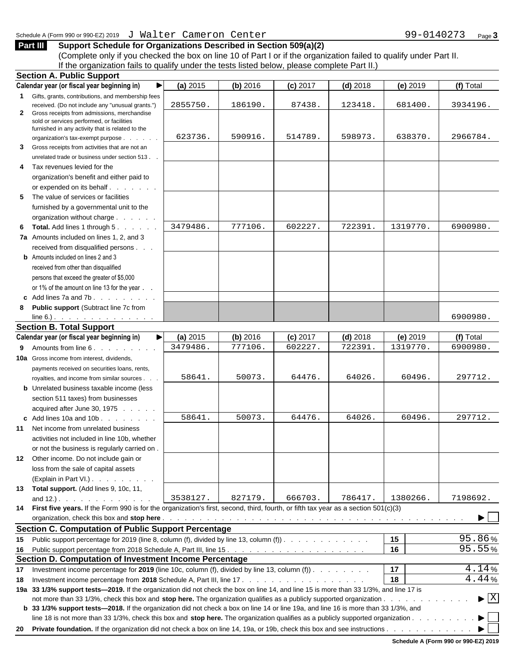**Part III Support Schedule for Organizations Described in Section 509(a)(2)** (Complete only if you checked the box on line 10 of Part I or if the organization failed to qualify under Part II. If the organization fails to qualify under the tests listed below, please complete Part II.)

| <b>Section A. Public Support</b>                                                                                                       |            |            |            |            |                  |                                          |
|----------------------------------------------------------------------------------------------------------------------------------------|------------|------------|------------|------------|------------------|------------------------------------------|
| Calendar year (or fiscal year beginning in)                                                                                            | $(a)$ 2015 | $(b)$ 2016 | $(c)$ 2017 | $(d)$ 2018 | $(e)$ 2019       | (f) Total                                |
| Gifts, grants, contributions, and membership fees                                                                                      |            |            |            |            |                  |                                          |
| received. (Do not include any "unusual grants.")                                                                                       | 2855750.   | 186190.    | 87438.     | 123418     | 681400.          | 3934196.                                 |
| 2 Gross receipts from admissions, merchandise<br>sold or services performed, or facilities                                             |            |            |            |            |                  |                                          |
| furnished in any activity that is related to the                                                                                       |            |            |            |            |                  |                                          |
| organization's tax-exempt purpose                                                                                                      | 623736.    | 590916.    | 514789.    | 598973     | 638370.          | 2966784.                                 |
| 3 Gross receipts from activities that are not an                                                                                       |            |            |            |            |                  |                                          |
| unrelated trade or business under section 513.                                                                                         |            |            |            |            |                  |                                          |
| 4 Tax revenues levied for the                                                                                                          |            |            |            |            |                  |                                          |
| organization's benefit and either paid to                                                                                              |            |            |            |            |                  |                                          |
| or expended on its behalf.                                                                                                             |            |            |            |            |                  |                                          |
| 5 The value of services or facilities                                                                                                  |            |            |            |            |                  |                                          |
| furnished by a governmental unit to the                                                                                                |            |            |            |            |                  |                                          |
| organization without charge.                                                                                                           |            |            |            |            |                  |                                          |
| 6 Total. Add lines 1 through 5.                                                                                                        | 3479486.   | 777106     | 602227     | 722391     | 1319770.         | 6900980.                                 |
|                                                                                                                                        |            |            |            |            |                  |                                          |
| 7a Amounts included on lines 1, 2, and 3                                                                                               |            |            |            |            |                  |                                          |
| received from disqualified persons                                                                                                     |            |            |            |            |                  |                                          |
| <b>b</b> Amounts included on lines 2 and 3                                                                                             |            |            |            |            |                  |                                          |
| received from other than disqualified                                                                                                  |            |            |            |            |                  |                                          |
| persons that exceed the greater of \$5,000                                                                                             |            |            |            |            |                  |                                          |
| or 1% of the amount on line 13 for the year                                                                                            |            |            |            |            |                  |                                          |
| c Add lines $7a$ and $7b$ .                                                                                                            |            |            |            |            |                  |                                          |
| 8 Public support (Subtract line 7c from                                                                                                |            |            |            |            |                  |                                          |
| $line 6.)$ .                                                                                                                           |            |            |            |            |                  | 6900980.                                 |
| <b>Section B. Total Support</b>                                                                                                        |            |            |            |            |                  |                                          |
| Calendar year (or fiscal year beginning in)                                                                                            | $(a)$ 2015 | (b) 2016   | $(c)$ 2017 | $(d)$ 2018 | $(e)$ 2019       | (f) Total                                |
| 9 Amounts from line 6.                                                                                                                 | 3479486.   | 777106.    | 602227     | 722391     | 1319770.         | 6900980.                                 |
| 10a Gross income from interest, dividends,                                                                                             |            |            |            |            |                  |                                          |
| payments received on securities loans, rents,                                                                                          |            |            |            |            |                  |                                          |
| royalties, and income from similar sources.                                                                                            | 58641.     | 50073.     | 64476.     | 64026.     | 60496.           | 297712.                                  |
| <b>b</b> Unrelated business taxable income (less                                                                                       |            |            |            |            |                  |                                          |
|                                                                                                                                        |            |            |            |            |                  |                                          |
| section 511 taxes) from businesses                                                                                                     |            |            |            |            |                  |                                          |
| acquired after June 30, 1975                                                                                                           |            |            |            |            |                  |                                          |
| c Add lines 10a and 10b.                                                                                                               | 58641.     | 50073.     | 64476.     | 64026.     | 60496.           | 297712.                                  |
| 11 Net income from unrelated business                                                                                                  |            |            |            |            |                  |                                          |
| activities not included in line 10b, whether                                                                                           |            |            |            |            |                  |                                          |
| or not the business is regularly carried on                                                                                            |            |            |            |            |                  |                                          |
| 12 Other income. Do not include gain or                                                                                                |            |            |            |            |                  |                                          |
| loss from the sale of capital assets                                                                                                   |            |            |            |            |                  |                                          |
| (Explain in Part VI.)                                                                                                                  |            |            |            |            |                  |                                          |
| 13 Total support. (Add lines 9, 10c, 11,                                                                                               |            |            |            |            |                  |                                          |
| and $12.$ ).                                                                                                                           | 3538127.   | 827179.    | 666703.    |            | 786417. 1380266. | 7198692.                                 |
| 14 First five years. If the Form 990 is for the organization's first, second, third, fourth, or fifth tax year as a section 501(c)(3)  |            |            |            |            |                  |                                          |
|                                                                                                                                        |            |            |            |            |                  | $\blacktriangleright$ $\Box$             |
| <b>Section C. Computation of Public Support Percentage</b>                                                                             |            |            |            |            |                  |                                          |
| 15 Public support percentage for 2019 (line 8, column (f), divided by line 13, column (f)).                                            |            |            |            |            | 15               | 95.86%                                   |
|                                                                                                                                        |            |            |            |            | 16               | 95.55%                                   |
| Section D. Computation of Investment Income Percentage                                                                                 |            |            |            |            |                  |                                          |
|                                                                                                                                        |            |            |            |            |                  | 4.14%                                    |
| 17 Investment income percentage for 2019 (line 10c, column (f), divided by line 13, column (f)).                                       |            |            |            |            | 17               |                                          |
| 18 Investment income percentage from 2018 Schedule A, Part III, line 17                                                                |            |            | .          |            | 18               | 4.44%                                    |
| 19a 33 1/3% support tests-2019. If the organization did not check the box on line 14, and line 15 is more than 33 1/3%, and line 17 is |            |            |            |            |                  |                                          |
| not more than 33 1/3%, check this box and stop here. The organization qualifies as a publicly supported organization                   |            |            |            |            |                  | $\blacktriangleright$ $\boxed{\text{X}}$ |
| b 33 1/3% support tests-2018. If the organization did not check a box on line 14 or line 19a, and line 16 is more than 33 1/3%, and    |            |            |            |            |                  |                                          |
| line 18 is not more than 33 1/3%, check this box and stop here. The organization qualifies as a publicly supported organization.       |            |            |            |            |                  | $\blacktriangleright$ $\sqsubseteq$      |
|                                                                                                                                        |            |            |            |            |                  |                                          |

**Schedule A (Form 990 or 990-EZ) 2019**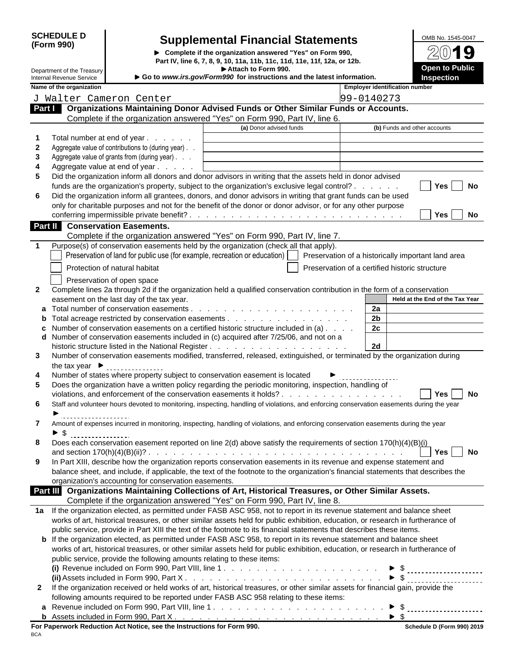| <b>SCHEDULE D</b> |  |
|-------------------|--|
| (Form 990)        |  |

#### **SCHEDULE D Supplemental Financial Statements** OMB No. 1545-0047 **(Form 990)**

**Complete if the organization answered "Yes" on Form 990, Part IV, line 6, 7, 8, 9, 10, 11a, 11b, 11c, 11d, 11e, 11f, 12a, or 12b. Attach to Form 990.**

| OMB No. 1545-0047 |  |  |  |  |  |
|-------------------|--|--|--|--|--|
| ص                 |  |  |  |  |  |
| Z(U)<br>-21       |  |  |  |  |  |
|                   |  |  |  |  |  |
| Open to Public    |  |  |  |  |  |
| <b>Inspection</b> |  |  |  |  |  |
|                   |  |  |  |  |  |

Internal Revenue Service **Internal Revenue Service 3 Form990** for instructions and the latest information. Department of the Treasury<br>Internal Revenue Service

| Name of the organization           |                                                                             |                                                                                                                                           | <b>Employer identification number</b>                                                                                                                                                                                                                                                                                                                                                                                                                                                                                                                                                                                               |
|------------------------------------|-----------------------------------------------------------------------------|-------------------------------------------------------------------------------------------------------------------------------------------|-------------------------------------------------------------------------------------------------------------------------------------------------------------------------------------------------------------------------------------------------------------------------------------------------------------------------------------------------------------------------------------------------------------------------------------------------------------------------------------------------------------------------------------------------------------------------------------------------------------------------------------|
|                                    | J Walter Cameron Center                                                     |                                                                                                                                           | 99-0140273                                                                                                                                                                                                                                                                                                                                                                                                                                                                                                                                                                                                                          |
|                                    |                                                                             | Part   Organizations Maintaining Donor Advised Funds or Other Similar Funds or Accounts.                                                  |                                                                                                                                                                                                                                                                                                                                                                                                                                                                                                                                                                                                                                     |
|                                    |                                                                             | Complete if the organization answered "Yes" on Form 990, Part IV, line 6.                                                                 |                                                                                                                                                                                                                                                                                                                                                                                                                                                                                                                                                                                                                                     |
|                                    |                                                                             | (a) Donor advised funds                                                                                                                   | (b) Funds and other accounts                                                                                                                                                                                                                                                                                                                                                                                                                                                                                                                                                                                                        |
|                                    | Total number at end of year                                                 |                                                                                                                                           |                                                                                                                                                                                                                                                                                                                                                                                                                                                                                                                                                                                                                                     |
|                                    | Aggregate value of contributions to (during year). .                        |                                                                                                                                           |                                                                                                                                                                                                                                                                                                                                                                                                                                                                                                                                                                                                                                     |
|                                    | Aggregate value of grants from (during year)                                |                                                                                                                                           |                                                                                                                                                                                                                                                                                                                                                                                                                                                                                                                                                                                                                                     |
|                                    | Aggregate value at end of year                                              |                                                                                                                                           |                                                                                                                                                                                                                                                                                                                                                                                                                                                                                                                                                                                                                                     |
|                                    |                                                                             | Did the organization inform all donors and donor advisors in writing that the assets held in donor advised                                |                                                                                                                                                                                                                                                                                                                                                                                                                                                                                                                                                                                                                                     |
|                                    |                                                                             | funds are the organization's property, subject to the organization's exclusive legal control?                                             | Yes     No                                                                                                                                                                                                                                                                                                                                                                                                                                                                                                                                                                                                                          |
| 6                                  |                                                                             | Did the organization inform all grantees, donors, and donor advisors in writing that grant funds can be used                              |                                                                                                                                                                                                                                                                                                                                                                                                                                                                                                                                                                                                                                     |
|                                    |                                                                             | only for charitable purposes and not for the benefit of the donor or donor advisor, or for any other purpose                              |                                                                                                                                                                                                                                                                                                                                                                                                                                                                                                                                                                                                                                     |
|                                    |                                                                             |                                                                                                                                           | $Yes$   No                                                                                                                                                                                                                                                                                                                                                                                                                                                                                                                                                                                                                          |
|                                    | <b>Part II</b> Conservation Easements.                                      |                                                                                                                                           |                                                                                                                                                                                                                                                                                                                                                                                                                                                                                                                                                                                                                                     |
|                                    |                                                                             | Complete if the organization answered "Yes" on Form 990, Part IV, line 7.                                                                 |                                                                                                                                                                                                                                                                                                                                                                                                                                                                                                                                                                                                                                     |
|                                    |                                                                             | Purpose(s) of conservation easements held by the organization (check all that apply).                                                     |                                                                                                                                                                                                                                                                                                                                                                                                                                                                                                                                                                                                                                     |
|                                    |                                                                             | Preservation of land for public use (for example, recreation or education)   Preservation of a historically important land area           |                                                                                                                                                                                                                                                                                                                                                                                                                                                                                                                                                                                                                                     |
|                                    |                                                                             |                                                                                                                                           |                                                                                                                                                                                                                                                                                                                                                                                                                                                                                                                                                                                                                                     |
|                                    | Protection of natural habitat                                               |                                                                                                                                           | Preservation of a certified historic structure                                                                                                                                                                                                                                                                                                                                                                                                                                                                                                                                                                                      |
|                                    | Preservation of open space                                                  |                                                                                                                                           |                                                                                                                                                                                                                                                                                                                                                                                                                                                                                                                                                                                                                                     |
| $\mathbf{2}$                       |                                                                             | Complete lines 2a through 2d if the organization held a qualified conservation contribution in the form of a conservation                 |                                                                                                                                                                                                                                                                                                                                                                                                                                                                                                                                                                                                                                     |
|                                    | easement on the last day of the tax year.                                   |                                                                                                                                           | Held at the End of the Tax Year                                                                                                                                                                                                                                                                                                                                                                                                                                                                                                                                                                                                     |
|                                    |                                                                             |                                                                                                                                           | 2a                                                                                                                                                                                                                                                                                                                                                                                                                                                                                                                                                                                                                                  |
|                                    |                                                                             |                                                                                                                                           | 2 <sub>b</sub>                                                                                                                                                                                                                                                                                                                                                                                                                                                                                                                                                                                                                      |
|                                    |                                                                             | c Number of conservation easements on a certified historic structure included in $(a)$                                                    | 2c                                                                                                                                                                                                                                                                                                                                                                                                                                                                                                                                                                                                                                  |
|                                    |                                                                             | d Number of conservation easements included in (c) acquired after 7/25/06, and not on a                                                   |                                                                                                                                                                                                                                                                                                                                                                                                                                                                                                                                                                                                                                     |
|                                    |                                                                             |                                                                                                                                           | <b>2d</b>                                                                                                                                                                                                                                                                                                                                                                                                                                                                                                                                                                                                                           |
| 3                                  |                                                                             | Number of conservation easements modified, transferred, released, extinguished, or terminated by the organization during                  |                                                                                                                                                                                                                                                                                                                                                                                                                                                                                                                                                                                                                                     |
| the tax year $\blacktriangleright$ | ----------------                                                            |                                                                                                                                           |                                                                                                                                                                                                                                                                                                                                                                                                                                                                                                                                                                                                                                     |
| 4                                  | Number of states where property subject to conservation easement is located |                                                                                                                                           | $\begin{array}{c} \color{red} \blacktriangleright \end{array} \begin{array}{c} \color{red} \blacktriangleright \end{array} \begin{array}{c} \color{red} \blacktriangleright \end{array} \begin{array}{c} \color{red} \blacktriangleright \end{array} \begin{array}{c} \color{red} \blacktriangleright \end{array} \begin{array}{c} \color{red} \blacktriangleright \end{array} \begin{array}{c} \color{red} \blacktriangleright \end{array} \begin{array}{c} \color{red} \blacktriangleright \end{array} \begin{array}{c} \color{red} \blacktriangleright \end{array} \begin{array}{c} \color{red} \blacktriangleright \end{array}$ |
| 5                                  |                                                                             | Does the organization have a written policy regarding the periodic monitoring, inspection, handling of                                    |                                                                                                                                                                                                                                                                                                                                                                                                                                                                                                                                                                                                                                     |
|                                    |                                                                             |                                                                                                                                           | Yes   No                                                                                                                                                                                                                                                                                                                                                                                                                                                                                                                                                                                                                            |
| 6                                  |                                                                             | Staff and volunteer hours devoted to monitoring, inspecting, handling of violations, and enforcing conservation easements during the year |                                                                                                                                                                                                                                                                                                                                                                                                                                                                                                                                                                                                                                     |
|                                    |                                                                             |                                                                                                                                           |                                                                                                                                                                                                                                                                                                                                                                                                                                                                                                                                                                                                                                     |
|                                    |                                                                             | Amount of expenses incurred in monitoring, inspecting, handling of violations, and enforcing conservation easements during the year       |                                                                                                                                                                                                                                                                                                                                                                                                                                                                                                                                                                                                                                     |
| $\triangleright$ \$                | _________________                                                           |                                                                                                                                           |                                                                                                                                                                                                                                                                                                                                                                                                                                                                                                                                                                                                                                     |
|                                    |                                                                             | Does each conservation easement reported on line 2(d) above satisfy the requirements of section 170(h)(4)(B)(i)                           |                                                                                                                                                                                                                                                                                                                                                                                                                                                                                                                                                                                                                                     |
|                                    |                                                                             |                                                                                                                                           |                                                                                                                                                                                                                                                                                                                                                                                                                                                                                                                                                                                                                                     |
|                                    |                                                                             | 9 In Part XIII, describe how the organization reports conservation easements in its revenue and expense statement and                     |                                                                                                                                                                                                                                                                                                                                                                                                                                                                                                                                                                                                                                     |
|                                    |                                                                             | balance sheet, and include, if applicable, the text of the footnote to the organization's financial statements that describes the         |                                                                                                                                                                                                                                                                                                                                                                                                                                                                                                                                                                                                                                     |
|                                    | organization's accounting for conservation easements.                       |                                                                                                                                           |                                                                                                                                                                                                                                                                                                                                                                                                                                                                                                                                                                                                                                     |
|                                    |                                                                             | Part III Organizations Maintaining Collections of Art, Historical Treasures, or Other Similar Assets.                                     |                                                                                                                                                                                                                                                                                                                                                                                                                                                                                                                                                                                                                                     |
|                                    |                                                                             | Complete if the organization answered "Yes" on Form 990, Part IV, line 8.                                                                 |                                                                                                                                                                                                                                                                                                                                                                                                                                                                                                                                                                                                                                     |
|                                    |                                                                             | 1a If the organization elected, as permitted under FASB ASC 958, not to report in its revenue statement and balance sheet                 |                                                                                                                                                                                                                                                                                                                                                                                                                                                                                                                                                                                                                                     |
|                                    |                                                                             | works of art, historical treasures, or other similar assets held for public exhibition, education, or research in furtherance of          |                                                                                                                                                                                                                                                                                                                                                                                                                                                                                                                                                                                                                                     |
|                                    |                                                                             | public service, provide in Part XIII the text of the footnote to its financial statements that describes these items.                     |                                                                                                                                                                                                                                                                                                                                                                                                                                                                                                                                                                                                                                     |
|                                    |                                                                             | <b>b</b> If the organization elected, as permitted under FASB ASC 958, to report in its revenue statement and balance sheet               |                                                                                                                                                                                                                                                                                                                                                                                                                                                                                                                                                                                                                                     |
|                                    |                                                                             | works of art, historical treasures, or other similar assets held for public exhibition, education, or research in furtherance of          |                                                                                                                                                                                                                                                                                                                                                                                                                                                                                                                                                                                                                                     |
|                                    | public service, provide the following amounts relating to these items:      |                                                                                                                                           |                                                                                                                                                                                                                                                                                                                                                                                                                                                                                                                                                                                                                                     |
|                                    |                                                                             |                                                                                                                                           |                                                                                                                                                                                                                                                                                                                                                                                                                                                                                                                                                                                                                                     |
|                                    |                                                                             |                                                                                                                                           | (ii) Assets included in Form 990, Part X.                                                                                                                                                                                                                                                                                                                                                                                                                                                                                                                                                                                           |
|                                    |                                                                             | 2 If the organization received or held works of art, historical treasures, or other similar assets for financial gain, provide the        |                                                                                                                                                                                                                                                                                                                                                                                                                                                                                                                                                                                                                                     |
|                                    |                                                                             | following amounts required to be reported under FASB ASC 958 relating to these items:                                                     |                                                                                                                                                                                                                                                                                                                                                                                                                                                                                                                                                                                                                                     |
|                                    |                                                                             |                                                                                                                                           |                                                                                                                                                                                                                                                                                                                                                                                                                                                                                                                                                                                                                                     |
|                                    |                                                                             |                                                                                                                                           |                                                                                                                                                                                                                                                                                                                                                                                                                                                                                                                                                                                                                                     |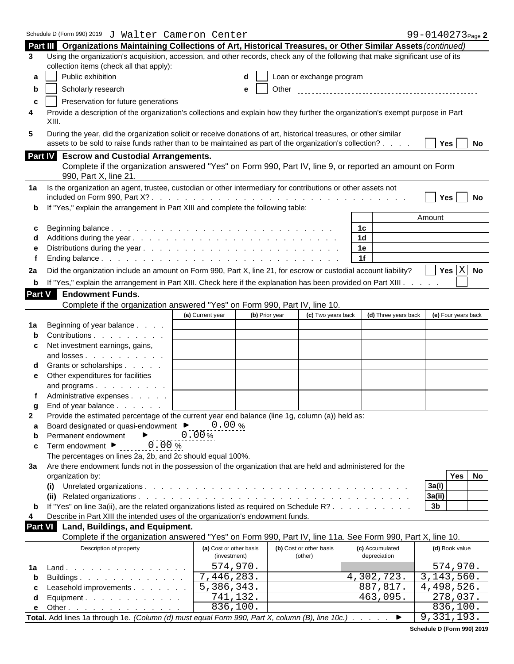| Schedule D (Form 990) 2019 J Walter Cameron Center                                                                                                                                                                                  | 99-0140273 <sub>Page</sub> 2                            |  |  |
|-------------------------------------------------------------------------------------------------------------------------------------------------------------------------------------------------------------------------------------|---------------------------------------------------------|--|--|
| Part III Organizations Maintaining Collections of Art, Historical Treasures, or Other Similar Assets (continued)                                                                                                                    |                                                         |  |  |
| 3 Using the organization's acquisition, accession, and other records, check any of the following that make significant use of its                                                                                                   |                                                         |  |  |
| collection items (check all that apply):                                                                                                                                                                                            |                                                         |  |  |
| Public exhibition<br>$\mathsf{d}$   Loan or exchange program<br>а                                                                                                                                                                   |                                                         |  |  |
|                                                                                                                                                                                                                                     |                                                         |  |  |
| Scholarly research<br>e   Other                                                                                                                                                                                                     |                                                         |  |  |
| Preservation for future generations                                                                                                                                                                                                 |                                                         |  |  |
| Provide a description of the organization's collections and explain how they further the organization's exempt purpose in Part<br>XIII                                                                                              |                                                         |  |  |
| During the year, did the organization solicit or receive donations of art, historical treasures, or other similar<br>5<br>assets to be sold to raise funds rather than to be maintained as part of the organization's collection? . | $\boxed{\phantom{1}}$ Yes $\boxed{\phantom{1}}$ No      |  |  |
| Part IV Escrow and Custodial Arrangements.                                                                                                                                                                                          |                                                         |  |  |
| Complete if the organization answered "Yes" on Form 990, Part IV, line 9, or reported an amount on Form<br>990, Part X, line 21.                                                                                                    |                                                         |  |  |
| 1a Is the organization an agent, trustee, custodian or other intermediary for contributions or other assets not                                                                                                                     |                                                         |  |  |
|                                                                                                                                                                                                                                     | $\Box$ Yes $\Box$ No                                    |  |  |
| <b>b</b> If "Yes," explain the arrangement in Part XIII and complete the following table:                                                                                                                                           |                                                         |  |  |
|                                                                                                                                                                                                                                     | Amount                                                  |  |  |
| 1c                                                                                                                                                                                                                                  |                                                         |  |  |
| 1 <sub>d</sub>                                                                                                                                                                                                                      |                                                         |  |  |
| 1e                                                                                                                                                                                                                                  |                                                         |  |  |
| 1f                                                                                                                                                                                                                                  |                                                         |  |  |
|                                                                                                                                                                                                                                     | $\overline{\phantom{a}}$ Yes $\overline{\mathrm{X}}$ No |  |  |
| Did the organization include an amount on Form 990, Part X, line 21, for escrow or custodial account liability?<br>2a                                                                                                               |                                                         |  |  |
| If "Yes," explain the arrangement in Part XIII. Check here if the explanation has been provided on Part XIII.                                                                                                                       |                                                         |  |  |
| Part V<br><b>Endowment Funds.</b>                                                                                                                                                                                                   |                                                         |  |  |
| Complete if the organization answered "Yes" on Form 990, Part IV, line 10.                                                                                                                                                          |                                                         |  |  |
| (a) Current year<br>(b) Prior year<br>(c) Two years back                                                                                                                                                                            | (d) Three years back (e) Four years back                |  |  |
| Beginning of year balance<br>1a l                                                                                                                                                                                                   |                                                         |  |  |
| Contributions                                                                                                                                                                                                                       |                                                         |  |  |
| Net investment earnings, gains,                                                                                                                                                                                                     |                                                         |  |  |
| and losses                                                                                                                                                                                                                          |                                                         |  |  |
| Grants or scholarships                                                                                                                                                                                                              |                                                         |  |  |
| e Other expenditures for facilities                                                                                                                                                                                                 |                                                         |  |  |
| and programs $\ldots$ $\ldots$ $\ldots$                                                                                                                                                                                             |                                                         |  |  |
| Administrative expenses                                                                                                                                                                                                             |                                                         |  |  |
| End of year balance                                                                                                                                                                                                                 |                                                         |  |  |
| Provide the estimated percentage of the current year end balance (line 1g, column (a)) held as:                                                                                                                                     |                                                         |  |  |
| Board designated or quasi-endowment $\blacktriangleright$ _____0.00 %<br>a                                                                                                                                                          |                                                         |  |  |
| $0.00\%$<br>Permanent endowment                                                                                                                                                                                                     |                                                         |  |  |
| <u>. 0 . 00 % </u><br>c Term endowment $\blacktriangleright$                                                                                                                                                                        |                                                         |  |  |
| The percentages on lines 2a, 2b, and 2c should equal 100%.                                                                                                                                                                          |                                                         |  |  |
| 3a Are there endowment funds not in the possession of the organization that are held and administered for the                                                                                                                       |                                                         |  |  |
| organization by:                                                                                                                                                                                                                    | Yes No                                                  |  |  |
|                                                                                                                                                                                                                                     | 3a(i)                                                   |  |  |
|                                                                                                                                                                                                                                     | 3a(ii)                                                  |  |  |
| <b>b</b> If "Yes" on line $3a(ii)$ , are the related organizations listed as required on Schedule R?                                                                                                                                | 3 <sub>b</sub>                                          |  |  |
| Describe in Part XIII the intended uses of the organization's endowment funds.                                                                                                                                                      |                                                         |  |  |
|                                                                                                                                                                                                                                     |                                                         |  |  |
| Part VI Land, Buildings, and Equipment.                                                                                                                                                                                             |                                                         |  |  |
| Complete if the organization answered "Yes" on Form 990, Part IV, line 11a. See Form 990, Part X, line 10.                                                                                                                          |                                                         |  |  |
| (a) Cost or other basis<br>(b) Cost or other basis<br>(c) Accumulated<br>Description of property                                                                                                                                    | (d) Book value                                          |  |  |
| (other)<br>depreciation<br>(investment)                                                                                                                                                                                             |                                                         |  |  |
| 574,970.<br><b>1a</b> Land.                                                                                                                                                                                                         | 574,970.                                                |  |  |
| 7,446,283.<br>4,302,723.<br>Buildings.<br>b                                                                                                                                                                                         | 3,143,560.                                              |  |  |
| 5,386,343.<br>887,817.<br>c Leasehold improvements                                                                                                                                                                                  | $\overline{4,498},526.$                                 |  |  |
| 741,132.<br>463,095.<br>d Equipment.                                                                                                                                                                                                | 278,037.                                                |  |  |
| 836,100.<br><b>e</b> Other                                                                                                                                                                                                          | 836,100.                                                |  |  |
| Total. Add lines 1a through 1e. (Column (d) must equal Form 990, Part X, column (B), line 10c.)                                                                                                                                     | 9,331,193.                                              |  |  |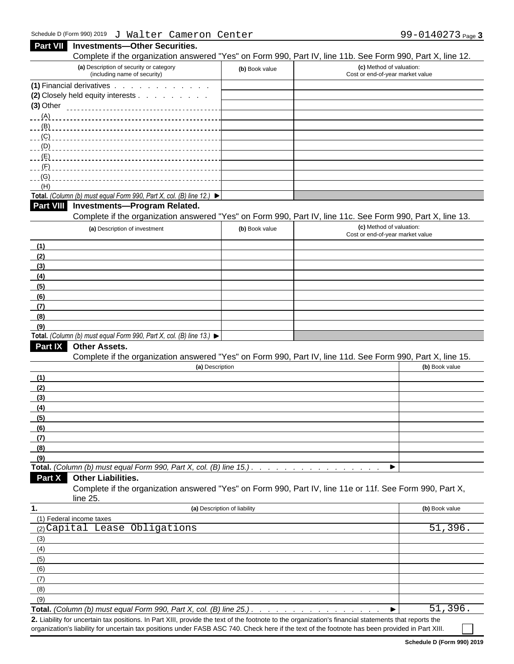| $\sigma$ narch cancreased concer                                                                                                                     |                              | $22$ $22$ $10$ $21$ $2$ $1$ $3$ $10$                                                                                                   |
|------------------------------------------------------------------------------------------------------------------------------------------------------|------------------------------|----------------------------------------------------------------------------------------------------------------------------------------|
| Part VII Investments-Other Securities.                                                                                                               |                              |                                                                                                                                        |
| (a) Description of security or category                                                                                                              |                              | Complete if the organization answered "Yes" on Form 990, Part IV, line 11b. See Form 990, Part X, line 12.<br>(c) Method of valuation: |
| (including name of security)                                                                                                                         | (b) Book value               | Cost or end-of-year market value                                                                                                       |
| (1) Financial derivatives                                                                                                                            |                              |                                                                                                                                        |
| (2) Closely held equity interests<br>$(3)$ Other                                                                                                     |                              |                                                                                                                                        |
|                                                                                                                                                      |                              |                                                                                                                                        |
|                                                                                                                                                      |                              |                                                                                                                                        |
| ___(C) _______________                                                                                                                               |                              |                                                                                                                                        |
|                                                                                                                                                      |                              |                                                                                                                                        |
|                                                                                                                                                      |                              |                                                                                                                                        |
| ___(F) ______________                                                                                                                                |                              |                                                                                                                                        |
|                                                                                                                                                      |                              |                                                                                                                                        |
| (H)<br>Total. (Column (b) must equal Form 990, Part X, col. (B) line 12.) $\blacktriangleright$                                                      |                              |                                                                                                                                        |
| Part VIII Investments-Program Related.                                                                                                               |                              |                                                                                                                                        |
|                                                                                                                                                      |                              | Complete if the organization answered "Yes" on Form 990, Part IV, line 11c. See Form 990, Part X, line 13.                             |
| (a) Description of investment                                                                                                                        | (b) Book value               | (c) Method of valuation:                                                                                                               |
|                                                                                                                                                      |                              | Cost or end-of-year market value                                                                                                       |
| (1)                                                                                                                                                  |                              |                                                                                                                                        |
| (2)                                                                                                                                                  |                              |                                                                                                                                        |
| (3)<br>(4)                                                                                                                                           |                              |                                                                                                                                        |
| (5)                                                                                                                                                  |                              |                                                                                                                                        |
| (6)                                                                                                                                                  |                              |                                                                                                                                        |
| (7)                                                                                                                                                  |                              |                                                                                                                                        |
| (8)                                                                                                                                                  |                              |                                                                                                                                        |
| (9)                                                                                                                                                  |                              |                                                                                                                                        |
| Total. (Column (b) must equal Form 990, Part X, col. (B) line 13.) $\blacktriangleright$                                                             |                              |                                                                                                                                        |
| <b>Part IX Other Assets.</b>                                                                                                                         |                              |                                                                                                                                        |
|                                                                                                                                                      |                              | Complete if the organization answered "Yes" on Form 990, Part IV, line 11d. See Form 990, Part X, line 15.                             |
|                                                                                                                                                      | (a) Description              | (b) Book value                                                                                                                         |
| (1)                                                                                                                                                  |                              |                                                                                                                                        |
| (2)                                                                                                                                                  |                              |                                                                                                                                        |
| (3)<br>(4)                                                                                                                                           |                              |                                                                                                                                        |
| (5)                                                                                                                                                  |                              |                                                                                                                                        |
| (6)                                                                                                                                                  |                              |                                                                                                                                        |
| (7)                                                                                                                                                  |                              |                                                                                                                                        |
| (8)                                                                                                                                                  |                              |                                                                                                                                        |
| (9)                                                                                                                                                  |                              |                                                                                                                                        |
| Total. (Column (b) must equal Form 990, Part X, col. (B) line 15.).                                                                                  |                              | ▶                                                                                                                                      |
| Part X Other Liabilities.                                                                                                                            |                              | Complete if the organization answered "Yes" on Form 990, Part IV, line 11e or 11f. See Form 990, Part X,                               |
| line 25.                                                                                                                                             |                              |                                                                                                                                        |
| (1) Federal income taxes                                                                                                                             | (a) Description of liability | (b) Book value                                                                                                                         |
| (2) Capital Lease Obligations                                                                                                                        |                              | 51,396.                                                                                                                                |
| (3)                                                                                                                                                  |                              |                                                                                                                                        |
| (4)                                                                                                                                                  |                              |                                                                                                                                        |
| (5)                                                                                                                                                  |                              |                                                                                                                                        |
| (6)                                                                                                                                                  |                              |                                                                                                                                        |
| (7)                                                                                                                                                  |                              |                                                                                                                                        |
| (8)                                                                                                                                                  |                              |                                                                                                                                        |
| (9)                                                                                                                                                  |                              |                                                                                                                                        |
|                                                                                                                                                      |                              | 51,396.<br>▸                                                                                                                           |
| 2. Liability for uncertain tax positions. In Part XIII, provide the text of the footnote to the organization's financial statements that reports the |                              |                                                                                                                                        |

**Schedule D (Form 990) 2019**

organization's liability for uncertain tax positions under FASB ASC 740. Check here if the text of the footnote has been provided in Part XIII.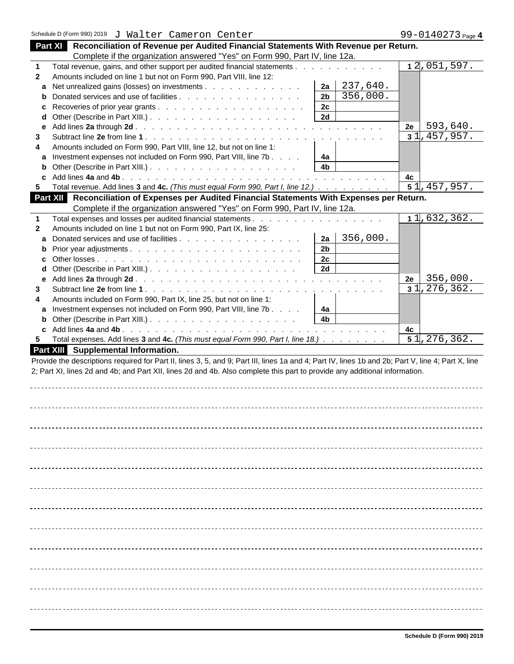| Part XI Reconciliation of Revenue per Audited Financial Statements With Revenue per Return.                                                                                                                                                                                          |  |
|--------------------------------------------------------------------------------------------------------------------------------------------------------------------------------------------------------------------------------------------------------------------------------------|--|
| Complete if the organization answered "Yes" on Form 990, Part IV, line 12a.                                                                                                                                                                                                          |  |
| 12,051,597.<br>Total revenue, gains, and other support per audited financial statements.                                                                                                                                                                                             |  |
| Amounts included on line 1 but not on Form 990, Part VIII, line 12:<br>$\overline{2}$                                                                                                                                                                                                |  |
| $ 2a $ 237,640.<br>a Net unrealized gains (losses) on investments                                                                                                                                                                                                                    |  |
| 2b<br>356,000.<br><b>b</b> Donated services and use of facilities                                                                                                                                                                                                                    |  |
| 2c                                                                                                                                                                                                                                                                                   |  |
| 2d<br><b>d</b> Other (Describe in Part XIII.). $\ldots$ $\ldots$ $\ldots$ $\ldots$ $\ldots$ $\ldots$ $\ldots$                                                                                                                                                                        |  |
| 593,640.<br>2e                                                                                                                                                                                                                                                                       |  |
| 31<br>,457,957.                                                                                                                                                                                                                                                                      |  |
| Amounts included on Form 990, Part VIII, line 12, but not on line 1:                                                                                                                                                                                                                 |  |
| 4a                                                                                                                                                                                                                                                                                   |  |
| a Investment expenses not included on Form 990, Part VIII, line 7b<br>4 <sub>b</sub>                                                                                                                                                                                                 |  |
| <b>b</b> Other (Describe in Part XIII.). $\ldots$ $\ldots$ $\ldots$ $\ldots$ $\ldots$ $\ldots$ $\ldots$                                                                                                                                                                              |  |
| 4c                                                                                                                                                                                                                                                                                   |  |
| $\overline{51, 457, 957}.$<br>Total revenue. Add lines 3 and 4c. (This must equal Form 990, Part I, line 12.)                                                                                                                                                                        |  |
| Part XII Reconciliation of Expenses per Audited Financial Statements With Expenses per Return.                                                                                                                                                                                       |  |
| Complete if the organization answered "Yes" on Form 990, Part IV, line 12a.                                                                                                                                                                                                          |  |
| 11,632,362.<br>Total expenses and losses per audited financial statements.<br>the second contract of the second contract of                                                                                                                                                          |  |
| Amounts included on line 1 but not on Form 990, Part IX, line 25:                                                                                                                                                                                                                    |  |
| $ 2a $ 356,000.<br>a Donated services and use of facilities                                                                                                                                                                                                                          |  |
| 2 <sub>b</sub>                                                                                                                                                                                                                                                                       |  |
| 2c                                                                                                                                                                                                                                                                                   |  |
| 2d<br><b>d</b> Other (Describe in Part XIII.). $\ldots$ $\ldots$ $\ldots$ $\ldots$ $\ldots$ $\ldots$ $\ldots$                                                                                                                                                                        |  |
| 356,000.<br>2e<br>e Add lines 2a through 2d.<br><u>. A participants are a participants of the contract of the contract of the contract of the contract of the contract of the contract of the contract of the contract of the contract of the contract of the contract of the co</u> |  |
| 31, 276, 362.<br>Subtract line 2e from line 1.<br>de la caractería de la caractería de la caractería de la caractería de                                                                                                                                                             |  |
| Amounts included on Form 990, Part IX, line 25, but not on line 1:                                                                                                                                                                                                                   |  |
| 4a<br>a Investment expenses not included on Form 990, Part VIII, line 7b                                                                                                                                                                                                             |  |
| 4 <sub>b</sub><br><b>b</b> Other (Describe in Part XIII.). $\ldots$ $\ldots$ $\ldots$ $\ldots$ $\ldots$ $\ldots$ $\ldots$                                                                                                                                                            |  |
| 4с                                                                                                                                                                                                                                                                                   |  |
| 51, 276, 362.<br>5 Total expenses. Add lines 3 and 4c. (This must equal Form 990, Part I, line 18.)                                                                                                                                                                                  |  |
|                                                                                                                                                                                                                                                                                      |  |
| Part XIII Supplemental Information.                                                                                                                                                                                                                                                  |  |
| Provide the descriptions required for Part II, lines 3, 5, and 9; Part III, lines 1a and 4; Part IV, lines 1b and 2b; Part V, line 4; Part X, line                                                                                                                                   |  |
| 2; Part XI, lines 2d and 4b; and Part XII, lines 2d and 4b. Also complete this part to provide any additional information.                                                                                                                                                           |  |
|                                                                                                                                                                                                                                                                                      |  |
|                                                                                                                                                                                                                                                                                      |  |
|                                                                                                                                                                                                                                                                                      |  |
|                                                                                                                                                                                                                                                                                      |  |
|                                                                                                                                                                                                                                                                                      |  |
|                                                                                                                                                                                                                                                                                      |  |
|                                                                                                                                                                                                                                                                                      |  |
|                                                                                                                                                                                                                                                                                      |  |
|                                                                                                                                                                                                                                                                                      |  |
|                                                                                                                                                                                                                                                                                      |  |
|                                                                                                                                                                                                                                                                                      |  |
|                                                                                                                                                                                                                                                                                      |  |
|                                                                                                                                                                                                                                                                                      |  |
|                                                                                                                                                                                                                                                                                      |  |
|                                                                                                                                                                                                                                                                                      |  |
|                                                                                                                                                                                                                                                                                      |  |
|                                                                                                                                                                                                                                                                                      |  |
|                                                                                                                                                                                                                                                                                      |  |
|                                                                                                                                                                                                                                                                                      |  |
|                                                                                                                                                                                                                                                                                      |  |
|                                                                                                                                                                                                                                                                                      |  |
|                                                                                                                                                                                                                                                                                      |  |
|                                                                                                                                                                                                                                                                                      |  |
|                                                                                                                                                                                                                                                                                      |  |
|                                                                                                                                                                                                                                                                                      |  |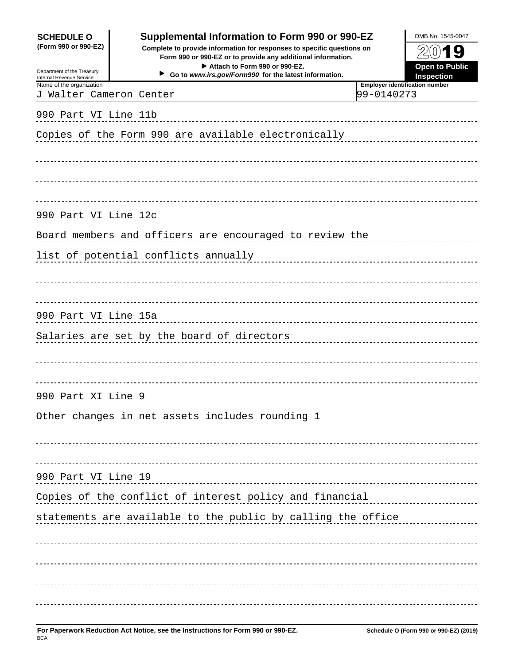| <b>SCHEDULE O</b>                                                              | Supplemental Information to Form 990 or 990-EZ                                                                                                                                                                                   | OMB No. 1545-0047                                   |
|--------------------------------------------------------------------------------|----------------------------------------------------------------------------------------------------------------------------------------------------------------------------------------------------------------------------------|-----------------------------------------------------|
| (Form 990 or 990-EZ)<br>Department of the Treasury<br>Internal Revenue Service | Complete to provide information for responses to specific questions on<br>Form 990 or 990-EZ or to provide any additional information.<br>Attach to Form 990 or 990-EZ.<br>Go to www.irs.gov/Form990 for the latest information. | <b>Open to Public</b><br><b>Inspection</b>          |
| Name of the organization<br>J Walter Cameron Center                            |                                                                                                                                                                                                                                  | <b>Employer identification number</b><br>99-0140273 |
|                                                                                |                                                                                                                                                                                                                                  |                                                     |
|                                                                                |                                                                                                                                                                                                                                  |                                                     |
|                                                                                |                                                                                                                                                                                                                                  |                                                     |
|                                                                                |                                                                                                                                                                                                                                  |                                                     |
|                                                                                |                                                                                                                                                                                                                                  |                                                     |
|                                                                                | 990 Part VI Line 12c and the contract of the contract of the contract of the contract of the contract of the contract of the contract of the contract of the contract of the contract of the contract of the contract of the c   |                                                     |
|                                                                                |                                                                                                                                                                                                                                  |                                                     |
|                                                                                |                                                                                                                                                                                                                                  |                                                     |
|                                                                                |                                                                                                                                                                                                                                  |                                                     |
|                                                                                |                                                                                                                                                                                                                                  |                                                     |
|                                                                                |                                                                                                                                                                                                                                  |                                                     |
|                                                                                |                                                                                                                                                                                                                                  |                                                     |
|                                                                                |                                                                                                                                                                                                                                  |                                                     |
|                                                                                |                                                                                                                                                                                                                                  |                                                     |
| 990 Part XI Line 9                                                             |                                                                                                                                                                                                                                  |                                                     |
|                                                                                | Other changes in net assets includes rounding 1                                                                                                                                                                                  |                                                     |
|                                                                                |                                                                                                                                                                                                                                  |                                                     |
|                                                                                |                                                                                                                                                                                                                                  |                                                     |
| 990 Part VI Line 19                                                            |                                                                                                                                                                                                                                  |                                                     |
|                                                                                | Copies of the conflict of interest policy and financial measurements of the conflict of interest policy and financial                                                                                                            |                                                     |
|                                                                                | statements are available to the public by calling the office                                                                                                                                                                     |                                                     |
|                                                                                |                                                                                                                                                                                                                                  |                                                     |
|                                                                                |                                                                                                                                                                                                                                  |                                                     |
|                                                                                |                                                                                                                                                                                                                                  |                                                     |
|                                                                                |                                                                                                                                                                                                                                  |                                                     |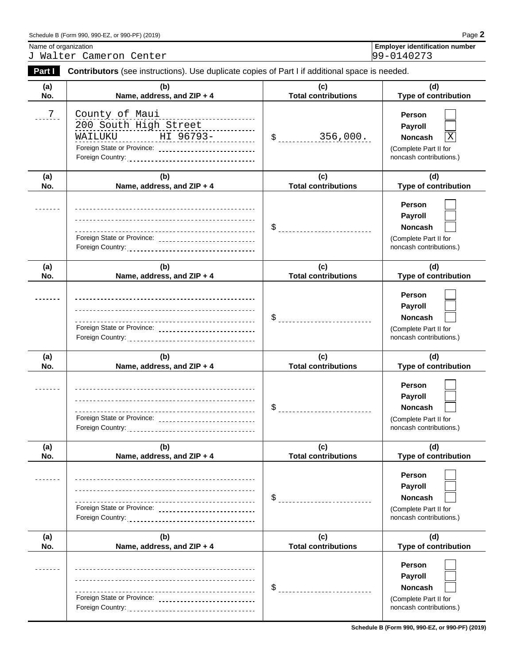| or 990-PF) (2019)                     | <u>പറസ്</u> |
|---------------------------------------|-------------|
| Schedule B (Form 990, 990-EZ, or you. | ' ayc       |
|                                       |             |

J Walter Cameron Center

Name of organization<br>
J Walter Cameron Center<br>
J Walter Cameron Center<br>
99-0140273

| Part I                                                                                                                                                                                                                                                                                                                                                                                                                                | Contributors (see instructions). Use duplicate copies of Part I if additional space is needed.                                                                                                                                                                                             |                                   |                                                                                                    |
|---------------------------------------------------------------------------------------------------------------------------------------------------------------------------------------------------------------------------------------------------------------------------------------------------------------------------------------------------------------------------------------------------------------------------------------|--------------------------------------------------------------------------------------------------------------------------------------------------------------------------------------------------------------------------------------------------------------------------------------------|-----------------------------------|----------------------------------------------------------------------------------------------------|
| (a)<br>No.                                                                                                                                                                                                                                                                                                                                                                                                                            | (b)<br>Name, address, and ZIP + 4                                                                                                                                                                                                                                                          | (c)<br><b>Total contributions</b> | (d)<br><b>Type of contribution</b>                                                                 |
| $7\phantom{1}$<br>--------                                                                                                                                                                                                                                                                                                                                                                                                            | <u>County of Maui</u><br>200 South High Street<br><u> WAILUKU HI 96793-</u>                                                                                                                                                                                                                | $$$ 356,000.                      | Person<br>Payroll<br>$\overline{X}$<br>Noncash<br>(Complete Part II for<br>noncash contributions.) |
| (a)<br>No.                                                                                                                                                                                                                                                                                                                                                                                                                            | (b)<br>Name, address, and ZIP + 4                                                                                                                                                                                                                                                          | (c)<br><b>Total contributions</b> | (d)<br><b>Type of contribution</b>                                                                 |
| -------                                                                                                                                                                                                                                                                                                                                                                                                                               | Foreign State or Province: _____________________________                                                                                                                                                                                                                                   |                                   | Person<br><b>Payroll</b><br>Noncash<br>(Complete Part II for<br>noncash contributions.)            |
| (a)<br>No.                                                                                                                                                                                                                                                                                                                                                                                                                            | (b)<br>Name, address, and ZIP + 4                                                                                                                                                                                                                                                          | (c)<br><b>Total contributions</b> | (d)<br>Type of contribution                                                                        |
| -------                                                                                                                                                                                                                                                                                                                                                                                                                               | Foreign State or Province: ______________________________                                                                                                                                                                                                                                  |                                   | Person<br>Payroll<br>Noncash<br>(Complete Part II for<br>noncash contributions.)                   |
| (a)<br>No.                                                                                                                                                                                                                                                                                                                                                                                                                            | (b)<br>Name, address, and ZIP + 4                                                                                                                                                                                                                                                          | (c)<br><b>Total contributions</b> | (d)<br>Type of contribution                                                                        |
| -------                                                                                                                                                                                                                                                                                                                                                                                                                               | Foreign State or Province: _____________________________                                                                                                                                                                                                                                   | ---------------------------       | Person<br>Payroll<br>Noncash<br>(Complete Part II for<br>noncash contributions.)                   |
| (a)<br>No.                                                                                                                                                                                                                                                                                                                                                                                                                            | (b)<br>Name, address, and ZIP + 4                                                                                                                                                                                                                                                          | (c)<br><b>Total contributions</b> | (d)<br>Type of contribution                                                                        |
| $\label{eq:reduced} \begin{split} \mathbf{u} & = \mathbf{u} + \mathbf{u} + \mathbf{u} + \mathbf{u} + \mathbf{u} + \mathbf{u} + \mathbf{u} + \mathbf{u} + \mathbf{u} + \mathbf{u} + \mathbf{u} + \mathbf{u} + \mathbf{u} + \mathbf{u} + \mathbf{u} + \mathbf{u} + \mathbf{u} + \mathbf{u} + \mathbf{u} + \mathbf{u} + \mathbf{u} + \mathbf{u} + \mathbf{u} + \mathbf{u} + \mathbf{u} + \mathbf{u} + \mathbf{u} + \mathbf{u} + \mathbf$ | Foreign State or Province: _____________________________                                                                                                                                                                                                                                   | ---------------------------       | Person<br><b>Payroll</b><br>Noncash<br>(Complete Part II for<br>noncash contributions.)            |
| (a)<br>No.                                                                                                                                                                                                                                                                                                                                                                                                                            | (b)<br>Name, address, and ZIP + 4                                                                                                                                                                                                                                                          | (c)<br><b>Total contributions</b> | (d)<br><b>Type of contribution</b>                                                                 |
|                                                                                                                                                                                                                                                                                                                                                                                                                                       | Foreign State or Province: _____________________________<br>Foreign Country: encouragement of the country of the country of the country of the country of the country of the country of the country of the country of the country of the country of the country of the country of the coun |                                   | Person<br><b>Payroll</b><br><b>Noncash</b><br>(Complete Part II for<br>noncash contributions.)     |

**Schedule B (Form 990, 990-EZ, or 990-PF) (2019)**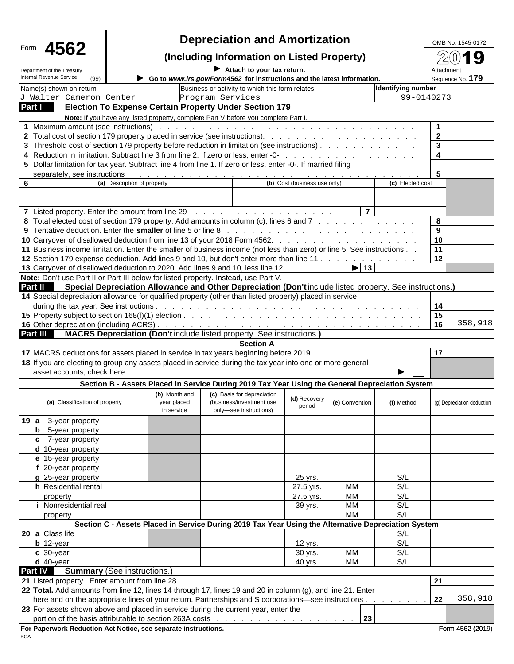| Form 4562                                                                           |                                            | <b>Depreciation and Amortization</b>                                                                                                                                                                                           |                              | OMB No. 1545-0172              |
|-------------------------------------------------------------------------------------|--------------------------------------------|--------------------------------------------------------------------------------------------------------------------------------------------------------------------------------------------------------------------------------|------------------------------|--------------------------------|
|                                                                                     |                                            | (Including Information on Listed Property)                                                                                                                                                                                     |                              | 2019                           |
| Department of the Treasury<br>Internal Revenue Service<br>(99)                      |                                            | $\blacktriangleright$ Attach to your tax return.<br>Go to www.irs.gov/Form4562 for instructions and the latest information.                                                                                                    |                              | Attachment<br>Sequence No. 179 |
| Name(s) shown on return                                                             |                                            | Business or activity to which this form relates                                                                                                                                                                                | <b>Identifying number</b>    |                                |
| J Walter Cameron Center                                                             |                                            | Program Services                                                                                                                                                                                                               |                              | 99-0140273                     |
| Part I                                                                              |                                            | <b>Election To Expense Certain Property Under Section 179</b>                                                                                                                                                                  |                              |                                |
|                                                                                     |                                            | Note: If you have any listed property, complete Part V before you complete Part I.                                                                                                                                             |                              |                                |
|                                                                                     |                                            |                                                                                                                                                                                                                                |                              |                                |
|                                                                                     |                                            |                                                                                                                                                                                                                                |                              | 2 <sup>1</sup>                 |
|                                                                                     |                                            |                                                                                                                                                                                                                                |                              |                                |
|                                                                                     |                                            |                                                                                                                                                                                                                                |                              |                                |
|                                                                                     |                                            | 5 Dollar limitation for tax year. Subtract line 4 from line 1. If zero or less, enter -0-. If married filing                                                                                                                   |                              |                                |
|                                                                                     |                                            |                                                                                                                                                                                                                                |                              |                                |
|                                                                                     | (a) Description of property                | (b) Cost (business use only)                                                                                                                                                                                                   | (c) Elected cost             |                                |
|                                                                                     |                                            |                                                                                                                                                                                                                                |                              |                                |
|                                                                                     |                                            |                                                                                                                                                                                                                                | 7                            |                                |
|                                                                                     |                                            | 8 Total elected cost of section 179 property. Add amounts in column (c), lines 6 and 7                                                                                                                                         |                              |                                |
|                                                                                     |                                            |                                                                                                                                                                                                                                |                              |                                |
|                                                                                     |                                            |                                                                                                                                                                                                                                |                              | $\overline{10}$                |
|                                                                                     |                                            | 11 Business income limitation. Enter the smaller of business income (not less than zero) or line 5. See instructions                                                                                                           |                              | $\overline{11}$                |
|                                                                                     |                                            | 12 Section 179 expense deduction. Add lines 9 and 10, but don't enter more than line 11                                                                                                                                        |                              | 12                             |
|                                                                                     |                                            | 13 Carryover of disallowed deduction to 2020. Add lines 9 and 10, less line 12 15 13                                                                                                                                           |                              |                                |
| Note: Don't use Part II or Part III below for listed property. Instead, use Part V. |                                            |                                                                                                                                                                                                                                |                              |                                |
|                                                                                     |                                            | Part II Special Depreciation Allowance and Other Depreciation (Don't include listed property. See instructions.)                                                                                                               |                              |                                |
|                                                                                     |                                            | 14 Special depreciation allowance for qualified property (other than listed property) placed in service                                                                                                                        |                              |                                |
|                                                                                     |                                            |                                                                                                                                                                                                                                |                              |                                |
|                                                                                     |                                            |                                                                                                                                                                                                                                |                              | 358,918                        |
| <b>Part III</b>                                                                     |                                            | <b>MACRS Depreciation (Don't include listed property. See instructions.)</b>                                                                                                                                                   |                              |                                |
|                                                                                     |                                            | <b>Section A</b>                                                                                                                                                                                                               |                              |                                |
|                                                                                     |                                            | 17 MACRS deductions for assets placed in service in tax years beginning before 2019                                                                                                                                            |                              | 17 <sup>1</sup>                |
|                                                                                     |                                            | 18 If you are electing to group any assets placed in service during the tax year into one or more general                                                                                                                      |                              |                                |
|                                                                                     |                                            | asset accounts, check here enterpreteration of the contract of the contract of the contract of the contract of the contract of the contract of the contract of the contract of the contract of the contract of the contract of |                              |                                |
|                                                                                     |                                            | Section B - Assets Placed in Service During 2019 Tax Year Using the General Depreciation System                                                                                                                                |                              |                                |
|                                                                                     |                                            | (c) Basis for depreciation                                                                                                                                                                                                     |                              |                                |
| (a) Classification of property                                                      | (b) Month and<br>year placed<br>in service | (d) Recovery<br>(business/investment use<br>(e) Convention<br>period<br>only-see instructions)                                                                                                                                 | (f) Method                   | (g) Depreciation deduction     |
| 19 a 3-year property                                                                |                                            |                                                                                                                                                                                                                                |                              |                                |
| <b>b</b> 5-year property                                                            |                                            |                                                                                                                                                                                                                                |                              |                                |
| c 7-year property                                                                   |                                            |                                                                                                                                                                                                                                |                              |                                |
| d 10-year property                                                                  |                                            |                                                                                                                                                                                                                                |                              |                                |
| e 15-year property                                                                  |                                            |                                                                                                                                                                                                                                |                              |                                |
| f 20-year property                                                                  |                                            | 25 yrs.                                                                                                                                                                                                                        | S/L                          |                                |
| g 25-year property<br>h Residential rental                                          |                                            | $\overline{27.5}$ yrs.<br>MM                                                                                                                                                                                                   | S/L                          |                                |
|                                                                                     |                                            | 27.5 yrs.<br>МM                                                                                                                                                                                                                | S/L                          |                                |
| property<br><i>i</i> Nonresidential real                                            |                                            | МM<br>39 yrs.                                                                                                                                                                                                                  | S/L                          |                                |
| property                                                                            |                                            | МM                                                                                                                                                                                                                             | S/L                          |                                |
|                                                                                     |                                            | Section C - Assets Placed in Service During 2019 Tax Year Using the Alternative Depreciation System                                                                                                                            |                              |                                |
| 20 a Class life                                                                     |                                            |                                                                                                                                                                                                                                | S/L                          |                                |
| $b$ 12-year                                                                         |                                            | 12 yrs.                                                                                                                                                                                                                        | S/L                          |                                |
| $c$ 30-year                                                                         |                                            | МM<br>30 yrs.                                                                                                                                                                                                                  | S/L                          |                                |
| $d$ 40-year                                                                         |                                            | МM<br>40 yrs.                                                                                                                                                                                                                  | S/L                          |                                |
| <b>Part IV Summary (See instructions.)</b>                                          |                                            |                                                                                                                                                                                                                                |                              |                                |
| 21 Listed property. Enter amount from line 28                                       |                                            |                                                                                                                                                                                                                                |                              | 21                             |
|                                                                                     |                                            | 22 Total. Add amounts from line 12, lines 14 through 17, lines 19 and 20 in column (g), and line 21. Enter                                                                                                                     |                              |                                |
|                                                                                     |                                            | here and on the appropriate lines of your return. Partnerships and S corporations-see instructions.                                                                                                                            | the contract of the contract | 358,918<br> 22                 |
| 23 For assets shown above and placed in service during the current year, enter the  |                                            |                                                                                                                                                                                                                                |                              |                                |
|                                                                                     |                                            |                                                                                                                                                                                                                                |                              |                                |
| For Paperwork Reduction Act Notice, see separate instructions.                      |                                            |                                                                                                                                                                                                                                |                              | Form 4562 (2019)               |
| <b>BCA</b>                                                                          |                                            |                                                                                                                                                                                                                                |                              |                                |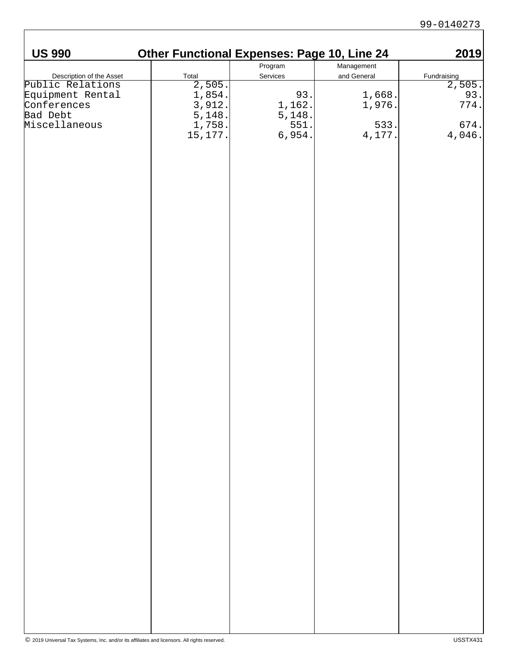| <b>US 990</b>                                                                                                | <b>Other Functional Expenses: Page 10, Line 24</b>                                                                  |                                           |                                                  | 2019                                              |
|--------------------------------------------------------------------------------------------------------------|---------------------------------------------------------------------------------------------------------------------|-------------------------------------------|--------------------------------------------------|---------------------------------------------------|
|                                                                                                              |                                                                                                                     | Program                                   | Management                                       |                                                   |
| Description of the Asset<br>Public Relations<br>Equipment Rental<br>Conferences<br>Bad Debt<br>Miscellaneous | $\begin{array}{r} \text{Total} \\ \hline 2,505 \\ 1,854 \\ 3,912 \\ 5,148 \\ 1,758 \\ 15,177 \\ \hline \end{array}$ | Services                                  | and General                                      | $\frac{\text{Fundraising}}{2,505}$<br>93.<br>774. |
|                                                                                                              |                                                                                                                     |                                           |                                                  |                                                   |
|                                                                                                              |                                                                                                                     | 93.<br>1,162.<br>5,148.<br>551.<br>6,954. | $\begin{bmatrix} 1, 668 \\ 1, 976 \end{bmatrix}$ |                                                   |
|                                                                                                              |                                                                                                                     |                                           |                                                  |                                                   |
|                                                                                                              |                                                                                                                     |                                           |                                                  |                                                   |
|                                                                                                              |                                                                                                                     |                                           | $\begin{bmatrix} 533. \\ 4,177. \end{bmatrix}$   | $\begin{bmatrix} 674. \\ 4,046. \end{bmatrix}$    |
|                                                                                                              |                                                                                                                     |                                           |                                                  |                                                   |
|                                                                                                              |                                                                                                                     |                                           |                                                  |                                                   |
|                                                                                                              |                                                                                                                     |                                           |                                                  |                                                   |
|                                                                                                              |                                                                                                                     |                                           |                                                  |                                                   |
|                                                                                                              |                                                                                                                     |                                           |                                                  |                                                   |
|                                                                                                              |                                                                                                                     |                                           |                                                  |                                                   |
|                                                                                                              |                                                                                                                     |                                           |                                                  |                                                   |
|                                                                                                              |                                                                                                                     |                                           |                                                  |                                                   |
|                                                                                                              |                                                                                                                     |                                           |                                                  |                                                   |
|                                                                                                              |                                                                                                                     |                                           |                                                  |                                                   |
|                                                                                                              |                                                                                                                     |                                           |                                                  |                                                   |
|                                                                                                              |                                                                                                                     |                                           |                                                  |                                                   |
|                                                                                                              |                                                                                                                     |                                           |                                                  |                                                   |
|                                                                                                              |                                                                                                                     |                                           |                                                  |                                                   |
|                                                                                                              |                                                                                                                     |                                           |                                                  |                                                   |
|                                                                                                              |                                                                                                                     |                                           |                                                  |                                                   |
|                                                                                                              |                                                                                                                     |                                           |                                                  |                                                   |
|                                                                                                              |                                                                                                                     |                                           |                                                  |                                                   |
|                                                                                                              |                                                                                                                     |                                           |                                                  |                                                   |
|                                                                                                              |                                                                                                                     |                                           |                                                  |                                                   |
|                                                                                                              |                                                                                                                     |                                           |                                                  |                                                   |
|                                                                                                              |                                                                                                                     |                                           |                                                  |                                                   |
|                                                                                                              |                                                                                                                     |                                           |                                                  |                                                   |
|                                                                                                              |                                                                                                                     |                                           |                                                  |                                                   |
|                                                                                                              |                                                                                                                     |                                           |                                                  |                                                   |
|                                                                                                              |                                                                                                                     |                                           |                                                  |                                                   |
|                                                                                                              |                                                                                                                     |                                           |                                                  |                                                   |
|                                                                                                              |                                                                                                                     |                                           |                                                  |                                                   |
|                                                                                                              |                                                                                                                     |                                           |                                                  |                                                   |
|                                                                                                              |                                                                                                                     |                                           |                                                  |                                                   |
|                                                                                                              |                                                                                                                     |                                           |                                                  |                                                   |
|                                                                                                              |                                                                                                                     |                                           |                                                  |                                                   |
|                                                                                                              |                                                                                                                     |                                           |                                                  |                                                   |
|                                                                                                              |                                                                                                                     |                                           |                                                  |                                                   |
|                                                                                                              |                                                                                                                     |                                           |                                                  |                                                   |
|                                                                                                              |                                                                                                                     |                                           |                                                  |                                                   |
|                                                                                                              |                                                                                                                     |                                           |                                                  |                                                   |
|                                                                                                              |                                                                                                                     |                                           |                                                  |                                                   |
|                                                                                                              |                                                                                                                     |                                           |                                                  |                                                   |
|                                                                                                              |                                                                                                                     |                                           |                                                  |                                                   |
|                                                                                                              |                                                                                                                     |                                           |                                                  |                                                   |
|                                                                                                              |                                                                                                                     |                                           |                                                  |                                                   |
|                                                                                                              |                                                                                                                     |                                           |                                                  |                                                   |
|                                                                                                              |                                                                                                                     |                                           |                                                  |                                                   |
|                                                                                                              |                                                                                                                     |                                           |                                                  |                                                   |
|                                                                                                              |                                                                                                                     |                                           |                                                  |                                                   |
|                                                                                                              |                                                                                                                     |                                           |                                                  |                                                   |

H.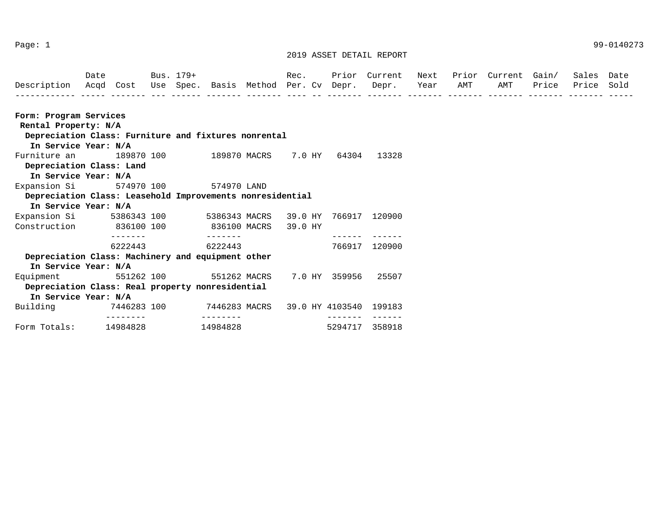|                                                           | Date |                         |     | Bus. 179+ |                              |                               | Rec.            | Prior   | Current                  | Next             | Prior           | Current         | Gain/             | Sales                  | Date |
|-----------------------------------------------------------|------|-------------------------|-----|-----------|------------------------------|-------------------------------|-----------------|---------|--------------------------|------------------|-----------------|-----------------|-------------------|------------------------|------|
| Description<br>------------                               | Acqd | Cost                    | Use | Spec.     | --------                     | Basis Method<br>-------- ---- | Per. Cv         | Depr.   | Depr.<br>--------        | Year<br>-------- | AMT<br>-------- | AMT<br>-------- | Price<br>-------- | Price<br>------------- | Sold |
| Form: Program Services                                    |      |                         |     |           |                              |                               |                 |         |                          |                  |                 |                 |                   |                        |      |
| Rental Property: N/A                                      |      |                         |     |           |                              |                               |                 |         |                          |                  |                 |                 |                   |                        |      |
| Depreciation Class: Furniture and fixtures nonrental      |      |                         |     |           |                              |                               |                 |         |                          |                  |                 |                 |                   |                        |      |
| In Service Year: N/A                                      |      |                         |     |           |                              |                               |                 |         |                          |                  |                 |                 |                   |                        |      |
| Furniture an                                              |      | 189870 100              |     |           |                              | 189870 MACRS                  | 7.0 HY          | 64304   | 13328                    |                  |                 |                 |                   |                        |      |
| Depreciation Class: Land                                  |      |                         |     |           |                              |                               |                 |         |                          |                  |                 |                 |                   |                        |      |
| In Service Year: N/A                                      |      |                         |     |           |                              |                               |                 |         |                          |                  |                 |                 |                   |                        |      |
| Expansion Si                                              |      | 574970 100              |     |           | 574970 LAND                  |                               |                 |         |                          |                  |                 |                 |                   |                        |      |
| Depreciation Class: Leasehold Improvements nonresidential |      |                         |     |           |                              |                               |                 |         |                          |                  |                 |                 |                   |                        |      |
| In Service Year: N/A                                      |      |                         |     |           |                              |                               |                 |         |                          |                  |                 |                 |                   |                        |      |
| Expansion Si                                              |      | 5386343 100             |     |           | 5386343 MACRS                |                               | 39.0 HY         | 766917  | 120900                   |                  |                 |                 |                   |                        |      |
| Construction                                              |      | 836100 100              |     |           |                              | 836100 MACRS                  | 39.0 HY         |         |                          |                  |                 |                 |                   |                        |      |
|                                                           |      | -------<br>6222443      |     |           | $- - - - - - - -$<br>6222443 |                               |                 | ------- | -------<br>766917 120900 |                  |                 |                 |                   |                        |      |
| Depreciation Class: Machinery and equipment other         |      |                         |     |           |                              |                               |                 |         |                          |                  |                 |                 |                   |                        |      |
| In Service Year: N/A                                      |      |                         |     |           |                              |                               |                 |         |                          |                  |                 |                 |                   |                        |      |
| Equipment                                                 |      | 551262 100              |     |           |                              | 551262 MACRS                  | 7.0 HY          | 359956  | 25507                    |                  |                 |                 |                   |                        |      |
| Depreciation Class: Real property nonresidential          |      |                         |     |           |                              |                               |                 |         |                          |                  |                 |                 |                   |                        |      |
| In Service Year: N/A                                      |      |                         |     |           |                              |                               |                 |         |                          |                  |                 |                 |                   |                        |      |
| Building                                                  |      | 7446283 100<br>-------- |     |           | 7446283 MACRS<br>--------    |                               | 39.0 HY 4103540 | ------- | 199183<br>_______        |                  |                 |                 |                   |                        |      |
| Form Totals:                                              |      | 14984828                |     |           | 14984828                     |                               |                 | 5294717 | 358918                   |                  |                 |                 |                   |                        |      |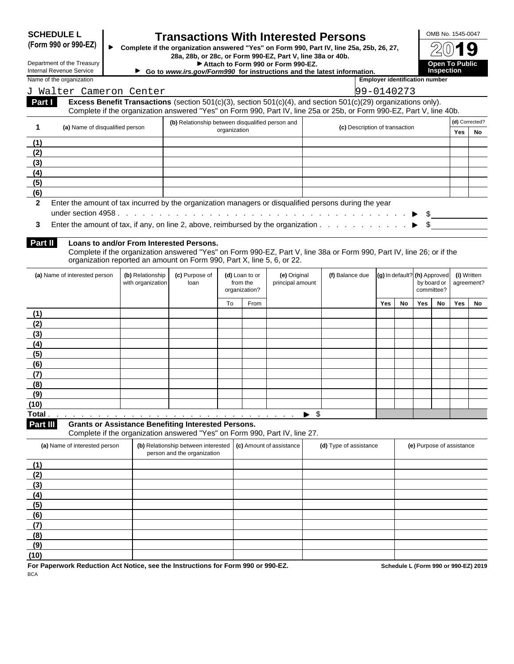| <b>SCHEDULE L</b> |  |
|-------------------|--|
|-------------------|--|

## **SCHEDULE L Transactions With Interested Persons**<br>(Form 990 or 990-EZ)  $\bullet$  Complete if the organization answered "Yes" on Form 990, Part IV, line 25a, 29

**(Form 990 or 990-EZ) Complete if the organization answered "Yes" on Form 990, Part IV, line 25a, 25b, 26, 27, 28a, 28b, or 28c, or Form 990-EZ, Part V, line 38a or 40b.**

Department of the Treasury **Attach to Form 990 or Form 990-EZ. Attach to Form 990 or Form 990-EZ.** 

| OMB No. 1545-0047                    |
|--------------------------------------|
| $2(0)$ 19                            |
| <b>Open To Public<br/>Inspection</b> |

| Internal Revenue Service                                                                                                                         |                                       | Go to www.irs.gov/Form990 for instructions and the latest information.                                                                                                                                                                      |              |                                             |                                  |                     |                                |                                       |                       | <b>Inspection</b>         |     |                             |  |  |
|--------------------------------------------------------------------------------------------------------------------------------------------------|---------------------------------------|---------------------------------------------------------------------------------------------------------------------------------------------------------------------------------------------------------------------------------------------|--------------|---------------------------------------------|----------------------------------|---------------------|--------------------------------|---------------------------------------|-----------------------|---------------------------|-----|-----------------------------|--|--|
| Name of the organization                                                                                                                         |                                       |                                                                                                                                                                                                                                             |              |                                             |                                  |                     |                                | <b>Employer identification number</b> |                       |                           |     |                             |  |  |
| J Walter Cameron Center                                                                                                                          |                                       |                                                                                                                                                                                                                                             |              |                                             |                                  |                     |                                | 99-0140273                            |                       |                           |     |                             |  |  |
| <b>Part I</b>                                                                                                                                    |                                       | Excess Benefit Transactions (section $501(c)(3)$ , section $501(c)(4)$ , and section $501(c)(29)$ organizations only).                                                                                                                      |              |                                             |                                  |                     |                                |                                       |                       |                           |     |                             |  |  |
|                                                                                                                                                  |                                       | Complete if the organization answered "Yes" on Form 990, Part IV, line 25a or 25b, or Form 990-EZ, Part V, line 40b.                                                                                                                        |              |                                             |                                  |                     |                                |                                       |                       |                           |     |                             |  |  |
| (a) Name of disqualified person                                                                                                                  |                                       | (b) Relationship between disqualified person and                                                                                                                                                                                            | organization |                                             |                                  |                     | (c) Description of transaction |                                       |                       |                           | Yes | (d) Corrected?<br><b>No</b> |  |  |
| (1)                                                                                                                                              |                                       |                                                                                                                                                                                                                                             |              |                                             |                                  |                     |                                |                                       |                       |                           |     |                             |  |  |
| (2)                                                                                                                                              |                                       |                                                                                                                                                                                                                                             |              |                                             |                                  |                     |                                |                                       |                       |                           |     |                             |  |  |
| (3)                                                                                                                                              |                                       |                                                                                                                                                                                                                                             |              |                                             |                                  |                     |                                |                                       |                       |                           |     |                             |  |  |
| (4)                                                                                                                                              |                                       |                                                                                                                                                                                                                                             |              |                                             |                                  |                     |                                |                                       |                       |                           |     |                             |  |  |
| (5)                                                                                                                                              |                                       |                                                                                                                                                                                                                                             |              |                                             |                                  |                     |                                |                                       |                       |                           |     |                             |  |  |
| (6)                                                                                                                                              |                                       |                                                                                                                                                                                                                                             |              |                                             |                                  |                     |                                |                                       |                       |                           |     |                             |  |  |
| Enter the amount of tax incurred by the organization managers or disqualified persons during the year<br>$\overline{2}$                          |                                       |                                                                                                                                                                                                                                             |              |                                             |                                  |                     |                                |                                       | $\blacktriangleright$ |                           |     |                             |  |  |
| Enter the amount of tax, if any, on line 2, above, reimbursed by the organization $\ldots$ , $\ldots$ , $\ldots$ , $\blacktriangleright$ \$<br>3 |                                       |                                                                                                                                                                                                                                             |              |                                             |                                  |                     |                                |                                       |                       |                           |     |                             |  |  |
| <b>Part II</b>                                                                                                                                   |                                       | Loans to and/or From Interested Persons.<br>Complete if the organization answered "Yes" on Form 990-EZ, Part V, line 38a or Form 990, Part IV, line 26; or if the<br>organization reported an amount on Form 990, Part X, line 5, 6, or 22. |              |                                             |                                  |                     |                                |                                       |                       |                           |     |                             |  |  |
| (a) Name of interested person                                                                                                                    | (b) Relationship<br>with organization | (c) Purpose of<br>loan                                                                                                                                                                                                                      |              | (d) Loan to or<br>from the<br>organization? | (e) Original<br>principal amount |                     | (f) Balance due                | (g) In default? (h) Approved          |                       | by board or<br>committee? |     | (i) Written<br>agreement?   |  |  |
|                                                                                                                                                  |                                       |                                                                                                                                                                                                                                             | To           | From                                        |                                  |                     |                                | Yes<br>No                             | Yes                   | No                        | Yes | No                          |  |  |
| (1)                                                                                                                                              |                                       |                                                                                                                                                                                                                                             |              |                                             |                                  |                     |                                |                                       |                       |                           |     |                             |  |  |
| (2)                                                                                                                                              |                                       |                                                                                                                                                                                                                                             |              |                                             |                                  |                     |                                |                                       |                       |                           |     |                             |  |  |
| (3)                                                                                                                                              |                                       |                                                                                                                                                                                                                                             |              |                                             |                                  |                     |                                |                                       |                       |                           |     |                             |  |  |
| (4)                                                                                                                                              |                                       |                                                                                                                                                                                                                                             |              |                                             |                                  |                     |                                |                                       |                       |                           |     |                             |  |  |
| (5)                                                                                                                                              |                                       |                                                                                                                                                                                                                                             |              |                                             |                                  |                     |                                |                                       |                       |                           |     |                             |  |  |
| (6)                                                                                                                                              |                                       |                                                                                                                                                                                                                                             |              |                                             |                                  |                     |                                |                                       |                       |                           |     |                             |  |  |
| (7)                                                                                                                                              |                                       |                                                                                                                                                                                                                                             |              |                                             |                                  |                     |                                |                                       |                       |                           |     |                             |  |  |
| (8)                                                                                                                                              |                                       |                                                                                                                                                                                                                                             |              |                                             |                                  |                     |                                |                                       |                       |                           |     |                             |  |  |
| (9)                                                                                                                                              |                                       |                                                                                                                                                                                                                                             |              |                                             |                                  |                     |                                |                                       |                       |                           |     |                             |  |  |
| (10)                                                                                                                                             |                                       |                                                                                                                                                                                                                                             |              |                                             |                                  |                     |                                |                                       |                       |                           |     |                             |  |  |
| Total.                                                                                                                                           |                                       | and a construction of the construction of the construction of the construction of the construction of the construction of the construction of the construction of the construction of the construction of the construction of               |              |                                             |                                  | $\triangleright$ \$ |                                |                                       |                       |                           |     |                             |  |  |
| Part III                                                                                                                                         |                                       | <b>Grants or Assistance Benefiting Interested Persons.</b><br>Complete if the organization answered "Yes" on Form 990, Part IV, line 27.                                                                                                    |              |                                             |                                  |                     |                                |                                       |                       |                           |     |                             |  |  |
| (a) Name of interested person                                                                                                                    |                                       | (b) Relationship between interested $\vert$ (c) Amount of assistance<br>person and the organization                                                                                                                                         |              |                                             |                                  |                     | (d) Type of assistance         |                                       |                       | (e) Purpose of assistance |     |                             |  |  |
| (1)                                                                                                                                              |                                       |                                                                                                                                                                                                                                             |              |                                             |                                  |                     |                                |                                       |                       |                           |     |                             |  |  |
| (2)                                                                                                                                              |                                       |                                                                                                                                                                                                                                             |              |                                             |                                  |                     |                                |                                       |                       |                           |     |                             |  |  |
| (3)                                                                                                                                              |                                       |                                                                                                                                                                                                                                             |              |                                             |                                  |                     |                                |                                       |                       |                           |     |                             |  |  |
| (4)                                                                                                                                              |                                       |                                                                                                                                                                                                                                             |              |                                             |                                  |                     |                                |                                       |                       |                           |     |                             |  |  |
| (5)                                                                                                                                              |                                       |                                                                                                                                                                                                                                             |              |                                             |                                  |                     |                                |                                       |                       |                           |     |                             |  |  |
| (6)                                                                                                                                              |                                       |                                                                                                                                                                                                                                             |              |                                             |                                  |                     |                                |                                       |                       |                           |     |                             |  |  |
| (7)                                                                                                                                              |                                       |                                                                                                                                                                                                                                             |              |                                             |                                  |                     |                                |                                       |                       |                           |     |                             |  |  |
| (8)                                                                                                                                              |                                       |                                                                                                                                                                                                                                             |              |                                             |                                  |                     |                                |                                       |                       |                           |     |                             |  |  |
| (9)                                                                                                                                              |                                       |                                                                                                                                                                                                                                             |              |                                             |                                  |                     |                                |                                       |                       |                           |     |                             |  |  |
| (10)                                                                                                                                             |                                       |                                                                                                                                                                                                                                             |              |                                             |                                  |                     |                                |                                       |                       |                           |     |                             |  |  |

For Paperwork Reduction Act Notice, see the Instructions for Form 990 or 990-EZ.<br>BCA **BCA BCA**